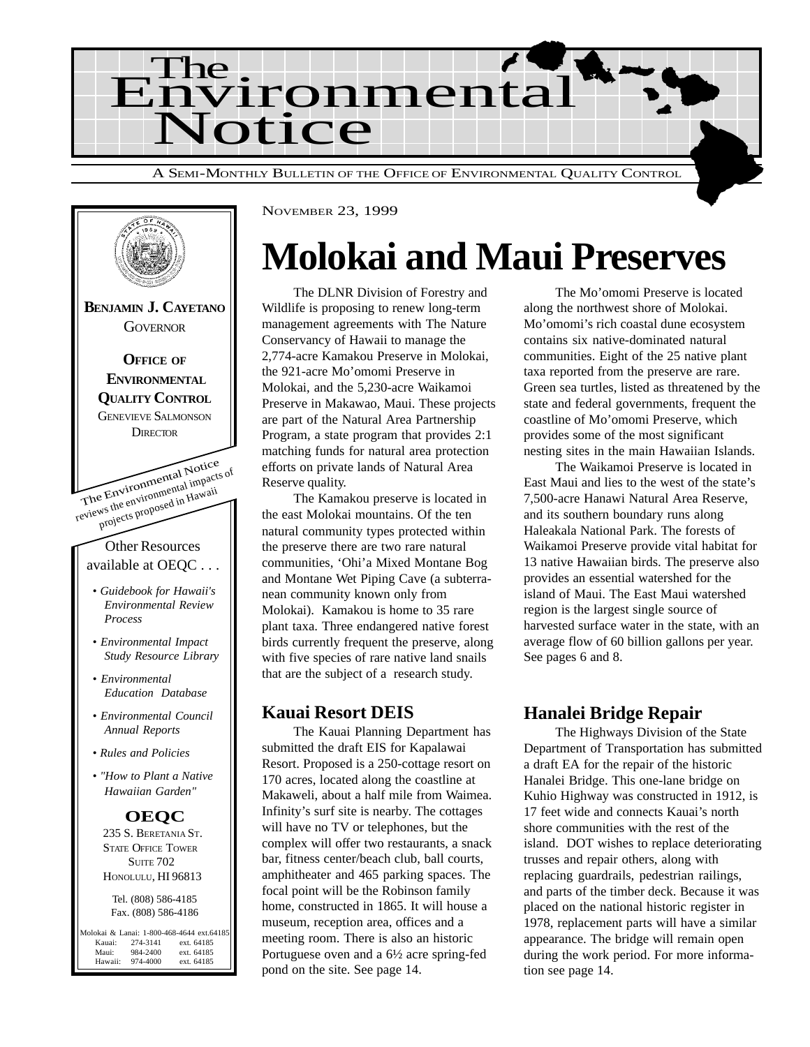



## **Molokai and Maui Preserves**

The DLNR Division of Forestry and Wildlife is proposing to renew long-term management agreements with The Nature Conservancy of Hawaii to manage the 2,774-acre Kamakou Preserve in Molokai, the 921-acre Mo'omomi Preserve in Molokai, and the 5,230-acre Waikamoi Preserve in Makawao, Maui. These projects are part of the Natural Area Partnership Program, a state program that provides 2:1 matching funds for natural area protection efforts on private lands of Natural Area Reserve quality.

The Kamakou preserve is located in the east Molokai mountains. Of the ten natural community types protected within the preserve there are two rare natural communities, 'Ohi'a Mixed Montane Bog and Montane Wet Piping Cave (a subterranean community known only from Molokai). Kamakou is home to 35 rare plant taxa. Three endangered native forest birds currently frequent the preserve, along with five species of rare native land snails that are the subject of a research study.

#### **Kauai Resort DEIS**

The Kauai Planning Department has submitted the draft EIS for Kapalawai Resort. Proposed is a 250-cottage resort on 170 acres, located along the coastline at Makaweli, about a half mile from Waimea. Infinity's surf site is nearby. The cottages will have no TV or telephones, but the complex will offer two restaurants, a snack bar, fitness center/beach club, ball courts, amphitheater and 465 parking spaces. The focal point will be the Robinson family home, constructed in 1865. It will house a museum, reception area, offices and a meeting room. There is also an historic Portuguese oven and a 6½ acre spring-fed pond on the site. See page 14.

The Mo'omomi Preserve is located along the northwest shore of Molokai. Mo'omomi's rich coastal dune ecosystem contains six native-dominated natural communities. Eight of the 25 native plant taxa reported from the preserve are rare. Green sea turtles, listed as threatened by the state and federal governments, frequent the coastline of Mo'omomi Preserve, which provides some of the most significant nesting sites in the main Hawaiian Islands.

The Waikamoi Preserve is located in East Maui and lies to the west of the state's 7,500-acre Hanawi Natural Area Reserve, and its southern boundary runs along Haleakala National Park. The forests of Waikamoi Preserve provide vital habitat for 13 native Hawaiian birds. The preserve also provides an essential watershed for the island of Maui. The East Maui watershed region is the largest single source of harvested surface water in the state, with an average flow of 60 billion gallons per year. See pages 6 and 8.

#### **Hanalei Bridge Repair**

The Highways Division of the State Department of Transportation has submitted a draft EA for the repair of the historic Hanalei Bridge. This one-lane bridge on Kuhio Highway was constructed in 1912, is 17 feet wide and connects Kauai's north shore communities with the rest of the island. DOT wishes to replace deteriorating trusses and repair others, along with replacing guardrails, pedestrian railings, and parts of the timber deck. Because it was placed on the national historic register in 1978, replacement parts will have a similar appearance. The bridge will remain open during the work period. For more information see page 14.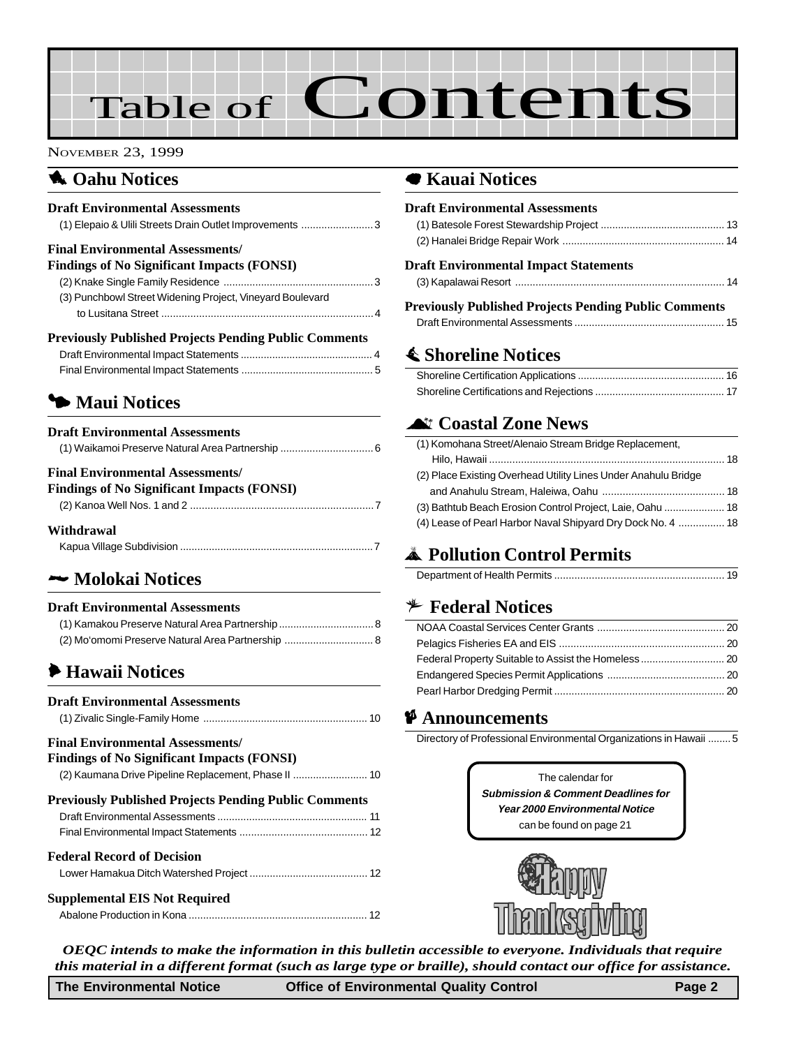# Table of Contents

#### NOVEMBER 23, 1999

## **1** Oahu Notices

#### **Draft Environmental Assessments**

| (1) Elepaio & Ulili Streets Drain Outlet Improvements  3     |  |
|--------------------------------------------------------------|--|
| <b>Final Environmental Assessments/</b>                      |  |
| <b>Findings of No Significant Impacts (FONSI)</b>            |  |
|                                                              |  |
| (3) Punchbowl Street Widening Project, Vineyard Boulevard    |  |
|                                                              |  |
| <b>Previously Published Projects Pending Public Comments</b> |  |
|                                                              |  |

[Final Environmental Impact Statements .............................................. 5](#page-4-0)

## 3 **[Maui Notices](#page-5-0)**

| <b>Draft Environmental Assessments</b> |  |
|----------------------------------------|--|
|                                        |  |

#### **Final Environmental Assessments/**

| <b>Findings of No Significant Impacts (FONSI)</b> |  |
|---------------------------------------------------|--|
|                                                   |  |

#### **Withdrawal**

## 2 **Molokai Notices**

#### **Draft Environmental Assessments**

## 6 **Hawaii Notices**

| <b>Draft Environmental Assessments</b>                                                       |  |
|----------------------------------------------------------------------------------------------|--|
| <b>Final Environmental Assessments/</b><br><b>Findings of No Significant Impacts (FONSI)</b> |  |
| <b>Previously Published Projects Pending Public Comments</b>                                 |  |
| <b>Federal Record of Decision</b>                                                            |  |
| <b>Supplemental EIS Not Required</b>                                                         |  |

#### 7 **Kauai Notices**

| <b>Draft Environmental Assessments</b>                       |  |
|--------------------------------------------------------------|--|
|                                                              |  |
|                                                              |  |
| <b>Draft Environmental Impact Statements</b>                 |  |
|                                                              |  |
| <b>Previously Published Projects Pending Public Comments</b> |  |
|                                                              |  |

## s **Shoreline Notices**

## ^ **Coastal Zone News**

| (1) Komohana Street/Alenaio Stream Bridge Replacement,         |  |
|----------------------------------------------------------------|--|
|                                                                |  |
| (2) Place Existing Overhead Utility Lines Under Anahulu Bridge |  |
|                                                                |  |
| (3) Bathtub Beach Erosion Control Project, Laie, Oahu  18      |  |
| (4) Lease of Pearl Harbor Naval Shipyard Dry Dock No. 4  18    |  |

## V **[Pollution Control Permits](#page-18-0)**

|--|

#### B **Federal Notices**

#### C **Announcements**

Directory of Professional Environmental Organizations in Hawaii ........5

The calendar for **Submission & Comment Deadlines for Year 2000 Environmental Notice** can be found on page 21



*OEQC intends to make the information in this bulletin accessible to everyone. Individuals that require this material in a different format (such as large type or braille), should contact our office for assistance.*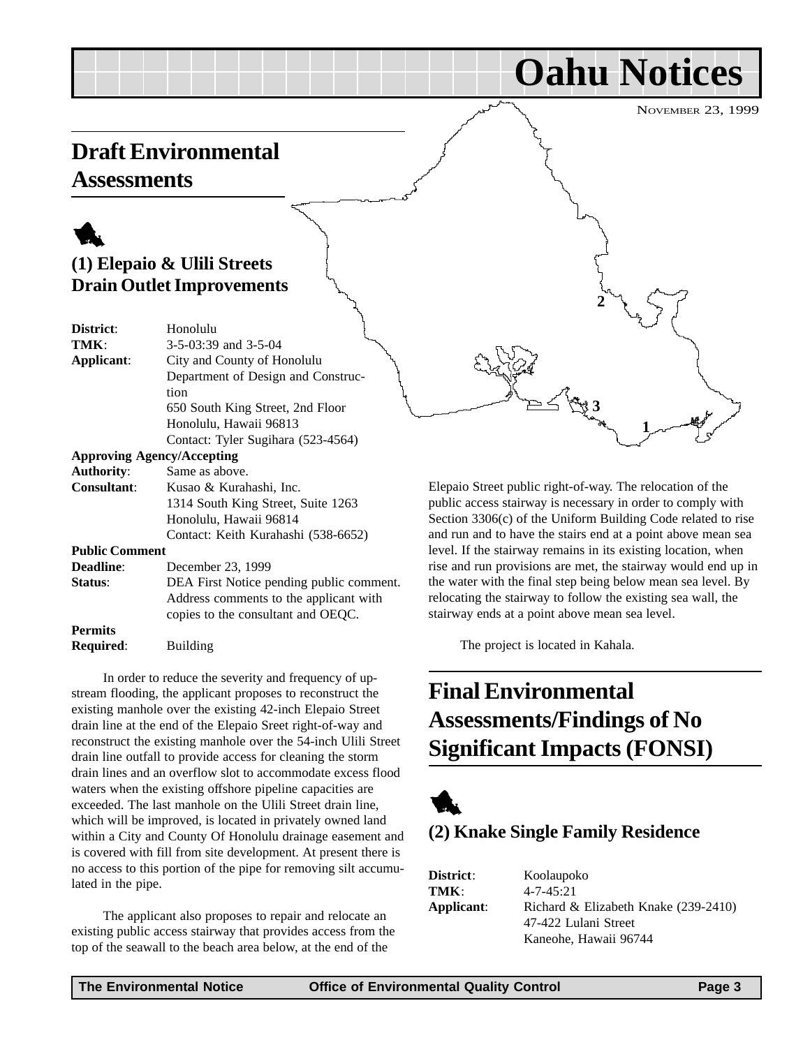**Oahu Notices**

## <span id="page-2-0"></span>**Draft Environmental Assessments**

1

## **(1) Elepaio & Ulili Streets Drain Outlet Improvements**

| District:                         | Honolulu                                 |
|-----------------------------------|------------------------------------------|
| TMK:                              | 3-5-03:39 and 3-5-04                     |
| Applicant:                        | City and County of Honolulu              |
|                                   | Department of Design and Construc-       |
|                                   | tion                                     |
|                                   | 650 South King Street, 2nd Floor         |
|                                   | Honolulu, Hawaii 96813                   |
|                                   | Contact: Tyler Sugihara (523-4564)       |
| <b>Approving Agency/Accepting</b> |                                          |
| <b>Authority:</b>                 | Same as above.                           |
| <b>Consultant:</b>                | Kusao & Kurahashi, Inc.                  |
|                                   | 1314 South King Street, Suite 1263       |
|                                   | Honolulu, Hawaii 96814                   |
|                                   | Contact: Keith Kurahashi (538-6652)      |
| <b>Public Comment</b>             |                                          |
| <b>Deadline:</b>                  | December 23, 1999                        |
| Status:                           | DEA First Notice pending public comment. |
|                                   | Address comments to the applicant with   |
|                                   | copies to the consultant and OEQC.       |
| <b>Permits</b>                    |                                          |
| Required:                         | Building                                 |
|                                   |                                          |

In order to reduce the severity and frequency of upstream flooding, the applicant proposes to reconstruct the existing manhole over the existing 42-inch Elepaio Street drain line at the end of the Elepaio Sreet right-of-way and reconstruct the existing manhole over the 54-inch Ulili Street drain line outfall to provide access for cleaning the storm drain lines and an overflow slot to accommodate excess flood waters when the existing offshore pipeline capacities are exceeded. The last manhole on the Ulili Street drain line, which will be improved, is located in privately owned land within a City and County Of Honolulu drainage easement and is covered with fill from site development. At present there is no access to this portion of the pipe for removing silt accumulated in the pipe.

The applicant also proposes to repair and relocate an existing public access stairway that provides access from the top of the seawall to the beach area below, at the end of the

Elepaio Street public right-of-way. The relocation of the public access stairway is necessary in order to comply with Section 3306(c) of the Uniform Building Code related to rise and run and to have the stairs end at a point above mean sea level. If the stairway remains in its existing location, when rise and run provisions are met, the stairway would end up in the water with the final step being below mean sea level. By relocating the stairway to follow the existing sea wall, the stairway ends at a point above mean sea level.

**2**

**3**

**1**

The project is located in Kahala.

## **Final Environmental Assessments/Findings of No Significant Impacts (FONSI)**



## **(2) Knake Single Family Residence**

**District**: Koolaupoko  $4 - 7 - 45 \cdot 21$ Richard & Elizabeth Knake (239-2410) 47-422 Lulani Street Kaneohe, Hawaii 96744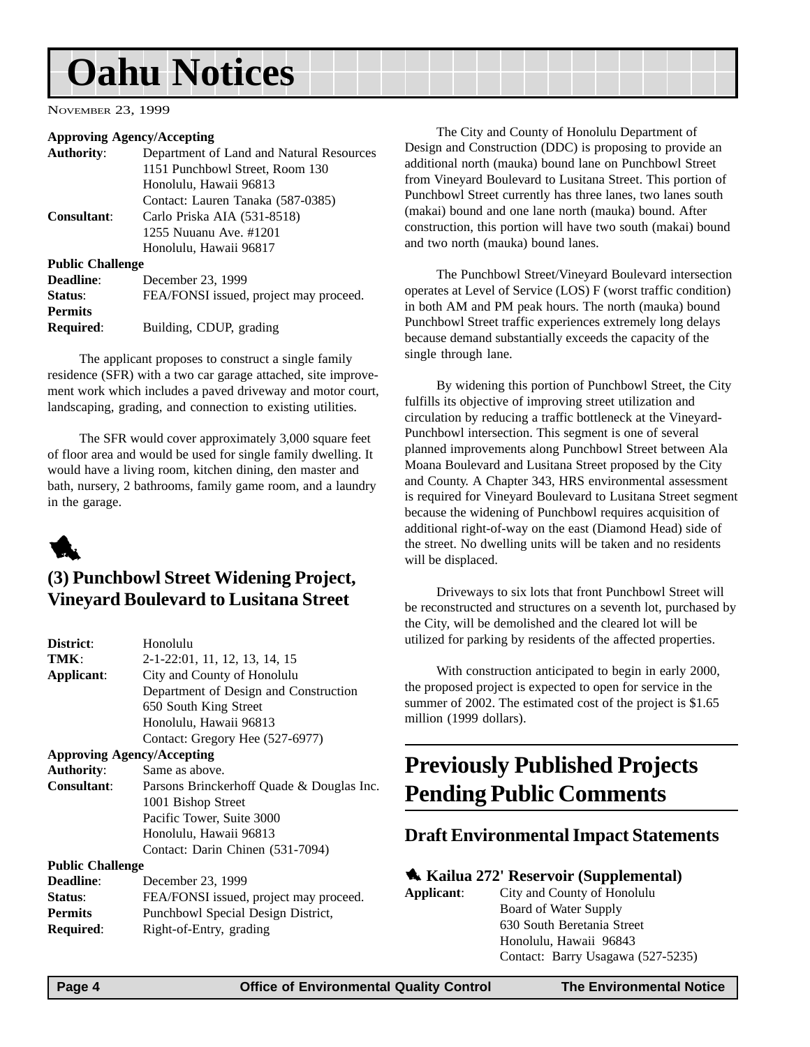## <span id="page-3-0"></span>**Oahu Notices**

NOVEMBER 23, 1999

#### **Approving Agency/Accepting**

| <b>Authority:</b>       | Department of Land and Natural Resources |  |
|-------------------------|------------------------------------------|--|
|                         | 1151 Punchbowl Street, Room 130          |  |
|                         | Honolulu, Hawaii 96813                   |  |
|                         | Contact: Lauren Tanaka (587-0385)        |  |
| Consultant:             | Carlo Priska AIA (531-8518)              |  |
|                         | 1255 Nuuanu Ave. #1201                   |  |
|                         | Honolulu, Hawaii 96817                   |  |
| <b>Public Challenge</b> |                                          |  |
| Deadline:               | December 23, 1999                        |  |
| Status:                 | FEA/FONSI issued, project may proceed.   |  |
| <b>Permits</b>          |                                          |  |
| <b>Required:</b>        | Building, CDUP, grading                  |  |
|                         |                                          |  |

The applicant proposes to construct a single family residence (SFR) with a two car garage attached, site improvement work which includes a paved driveway and motor court, landscaping, grading, and connection to existing utilities.

The SFR would cover approximately 3,000 square feet of floor area and would be used for single family dwelling. It would have a living room, kitchen dining, den master and bath, nursery, 2 bathrooms, family game room, and a laundry in the garage.



### **(3) Punchbowl Street Widening Project, Vineyard Boulevard to Lusitana Street**

| District:                         | Honolulu                                  |  |  |
|-----------------------------------|-------------------------------------------|--|--|
| TMK:                              | 2-1-22:01, 11, 12, 13, 14, 15             |  |  |
| Applicant:                        | City and County of Honolulu               |  |  |
|                                   | Department of Design and Construction     |  |  |
|                                   | 650 South King Street                     |  |  |
|                                   | Honolulu, Hawaii 96813                    |  |  |
|                                   | Contact: Gregory Hee (527-6977)           |  |  |
| <b>Approving Agency/Accepting</b> |                                           |  |  |
| <b>Authority:</b>                 | Same as above.                            |  |  |
| <b>Consultant:</b>                | Parsons Brinckerhoff Quade & Douglas Inc. |  |  |
|                                   | 1001 Bishop Street                        |  |  |
|                                   | Pacific Tower, Suite 3000                 |  |  |
|                                   | Honolulu, Hawaii 96813                    |  |  |
|                                   | Contact: Darin Chinen (531-7094)          |  |  |
| <b>Public Challenge</b>           |                                           |  |  |
| <b>Deadline:</b>                  | December 23, 1999                         |  |  |
| Status:                           | FEA/FONSI issued, project may proceed.    |  |  |
| <b>Permits</b>                    | Punchbowl Special Design District.        |  |  |

**Required**: Right-of-Entry, grading

The City and County of Honolulu Department of Design and Construction (DDC) is proposing to provide an additional north (mauka) bound lane on Punchbowl Street from Vineyard Boulevard to Lusitana Street. This portion of Punchbowl Street currently has three lanes, two lanes south (makai) bound and one lane north (mauka) bound. After construction, this portion will have two south (makai) bound and two north (mauka) bound lanes.

The Punchbowl Street/Vineyard Boulevard intersection operates at Level of Service (LOS) F (worst traffic condition) in both AM and PM peak hours. The north (mauka) bound Punchbowl Street traffic experiences extremely long delays because demand substantially exceeds the capacity of the single through lane.

By widening this portion of Punchbowl Street, the City fulfills its objective of improving street utilization and circulation by reducing a traffic bottleneck at the Vineyard-Punchbowl intersection. This segment is one of several planned improvements along Punchbowl Street between Ala Moana Boulevard and Lusitana Street proposed by the City and County. A Chapter 343, HRS environmental assessment is required for Vineyard Boulevard to Lusitana Street segment because the widening of Punchbowl requires acquisition of additional right-of-way on the east (Diamond Head) side of the street. No dwelling units will be taken and no residents will be displaced.

Driveways to six lots that front Punchbowl Street will be reconstructed and structures on a seventh lot, purchased by the City, will be demolished and the cleared lot will be utilized for parking by residents of the affected properties.

With construction anticipated to begin in early 2000, the proposed project is expected to open for service in the summer of 2002. The estimated cost of the project is \$1.65 million (1999 dollars).

## **Previously Published Projects Pending Public Comments**

#### **Draft Environmental Impact Statements**

#### 1 **Kailua 272' Reservoir (Supplemental)**

| Applicant: | City and County of Honolulu       |  |
|------------|-----------------------------------|--|
|            | Board of Water Supply             |  |
|            | 630 South Beretania Street        |  |
|            | Honolulu, Hawaii 96843            |  |
|            | Contact: Barry Usagawa (527-5235) |  |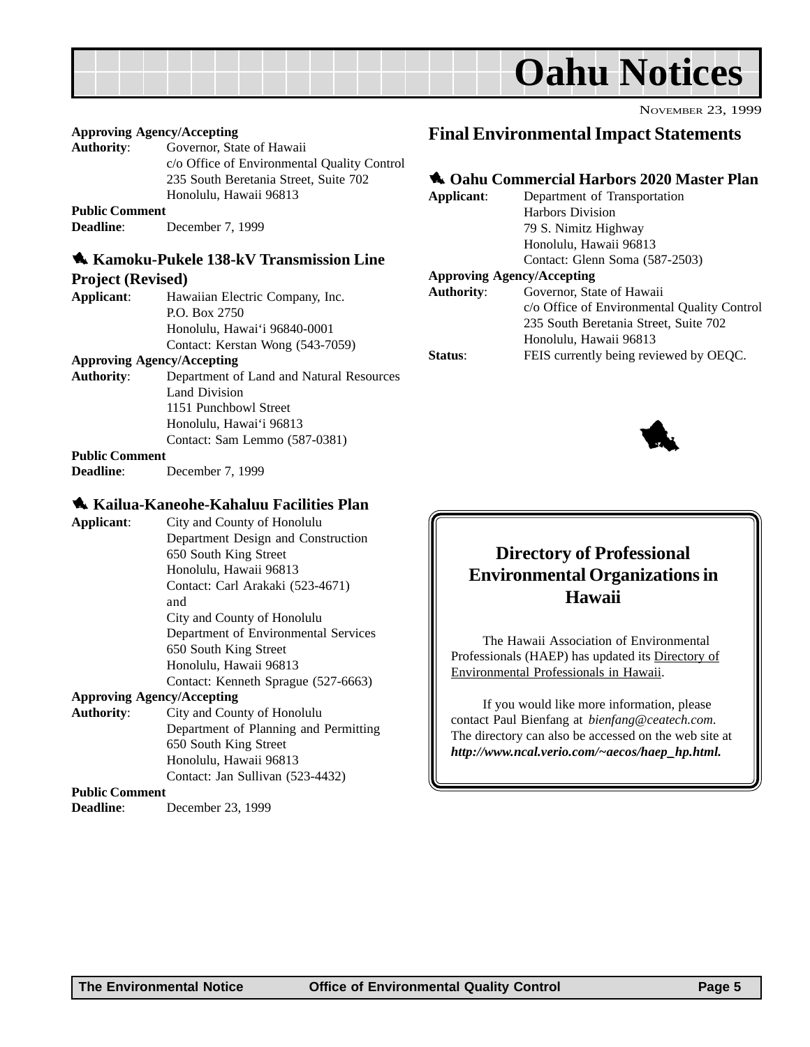<span id="page-4-0"></span>

#### **Approving Agency/Accepting**

**Authority**: Governor, State of Hawaii c/o Office of Environmental Quality Control 235 South Beretania Street, Suite 702 Honolulu, Hawaii 96813

#### **Public Comment**

**Deadline**: December 7, 1999

#### 1 **Kamoku-Pukele 138-kV Transmission Line**

#### **Project (Revised)**

**Applicant**: Hawaiian Electric Company, Inc. P.O. Box 2750 Honolulu, Hawai'i 96840-0001 Contact: Kerstan Wong (543-7059)

#### **Approving Agency/Accepting**

**Authority**: Department of Land and Natural Resources Land Division 1151 Punchbowl Street Honolulu, Hawai'i 96813 Contact: Sam Lemmo (587-0381)

#### **Public Comment**

**Deadline**: December 7, 1999

#### 1 **Kailua-Kaneohe-Kahaluu Facilities Plan**

**Applicant**: City and County of Honolulu Department Design and Construction 650 South King Street Honolulu, Hawaii 96813 Contact: Carl Arakaki (523-4671) and City and County of Honolulu Department of Environmental Services 650 South King Street Honolulu, Hawaii 96813 Contact: Kenneth Sprague (527-6663)

#### **Approving Agency/Accepting**

**Authority**: City and County of Honolulu Department of Planning and Permitting 650 South King Street Honolulu, Hawaii 96813 Contact: Jan Sullivan (523-4432)

#### **Public Comment**

**Deadline**: December 23, 1999

### **Final Environmental Impact Statements**

#### **1. Oahu Commercial Harbors 2020 Master Plan**

| Applicant:          | Department of Transportation                |  |  |
|---------------------|---------------------------------------------|--|--|
|                     | <b>Harbors Division</b>                     |  |  |
|                     | 79 S. Nimitz Highway                        |  |  |
|                     | Honolulu, Hawaii 96813                      |  |  |
|                     | Contact: Glenn Soma (587-2503)              |  |  |
|                     | <b>Approving Agency/Accepting</b>           |  |  |
| <b>Authority:</b>   | Governor, State of Hawaii                   |  |  |
|                     | c/o Office of Environmental Quality Control |  |  |
|                     | 235 South Beretania Street, Suite 702       |  |  |
|                     | Honolulu, Hawaii 96813                      |  |  |
| status <sup>.</sup> | FEIS currently being reviewed by OEQC.      |  |  |



NOVEMBER 23, 1999

### **Directory of Professional Environmental Organizations in Hawaii**

The Hawaii Association of Environmental Professionals (HAEP) has updated its Directory of Environmental Professionals in Hawaii.

If you would like more information, please contact Paul Bienfang at *bienfang@ceatech.com*. The directory can also be accessed on the web site at *http://www.ncal.verio.com/~aecos/haep\_hp.html.*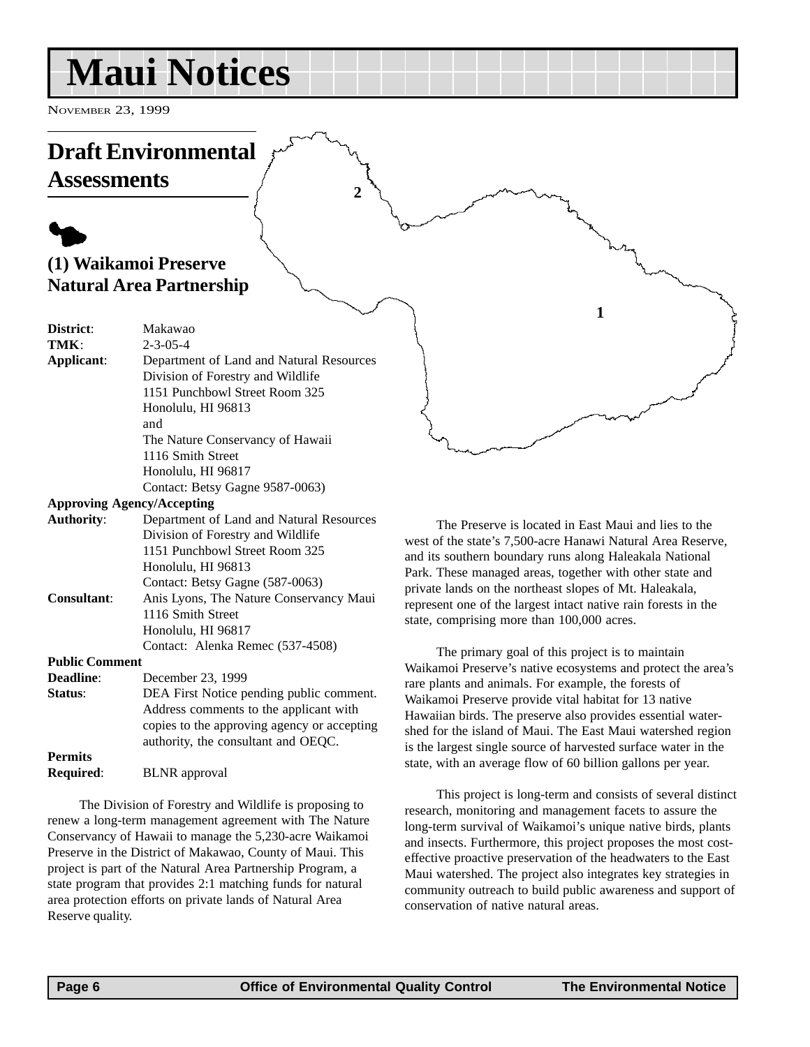## <span id="page-5-0"></span>**Maui Notices**

NOVEMBER 23, 1999

## **Draft Environmental**

**Assessments**

## $\blacklozenge$ **(1) Waikamoi Preserve Natural Area Partnership**

| District:  | Makawao                                  |
|------------|------------------------------------------|
| TMK:       | $2 - 3 - 05 - 4$                         |
| Applicant: | Department of Land and Natural Resources |
|            | Division of Forestry and Wildlife        |
|            | 1151 Punchbowl Street Room 325           |
|            | Honolulu, HI 96813                       |
|            | and                                      |
|            | The Nature Conservancy of Hawaii         |
|            | 1116 Smith Street                        |
|            | Honolulu, HI 96817                       |
|            | Contact: Betsy Gagne 9587-0063)          |
|            | <b>Approving Agency/Accepting</b>        |
|            |                                          |

| <b>Authority:</b>  | Department of Land and Natural Resources |
|--------------------|------------------------------------------|
|                    | Division of Forestry and Wildlife        |
|                    | 1151 Punchbowl Street Room 325           |
|                    | Honolulu, HI 96813                       |
|                    | Contact: Betsy Gagne (587-0063)          |
| <b>Consultant:</b> | Anis Lyons, The Nature Conservancy Maui  |
|                    | 1116 Smith Street                        |
|                    | Honolulu, HI 96817                       |
|                    | Contact: Alenka Remec (537-4508)         |
|                    |                                          |

#### **Public Comment**

| <b>Deadline:</b> | December 23, 1999                           |
|------------------|---------------------------------------------|
| Status:          | DEA First Notice pending public comment.    |
|                  | Address comments to the applicant with      |
|                  | copies to the approving agency or accepting |
|                  | authority, the consultant and OEQC.         |
| <b>Permits</b>   |                                             |
| <b>Required:</b> | <b>BLNR</b> approval                        |

The Division of Forestry and Wildlife is proposing to renew a long-term management agreement with The Nature Conservancy of Hawaii to manage the 5,230-acre Waikamoi Preserve in the District of Makawao, County of Maui. This project is part of the Natural Area Partnership Program, a state program that provides 2:1 matching funds for natural area protection efforts on private lands of Natural Area Reserve quality.

The Preserve is located in East Maui and lies to the west of the state's 7,500-acre Hanawi Natural Area Reserve, and its southern boundary runs along Haleakala National Park. These managed areas, together with other state and private lands on the northeast slopes of Mt. Haleakala, represent one of the largest intact native rain forests in the state, comprising more than 100,000 acres.

**1**

The primary goal of this project is to maintain Waikamoi Preserve's native ecosystems and protect the area's rare plants and animals. For example, the forests of Waikamoi Preserve provide vital habitat for 13 native Hawaiian birds. The preserve also provides essential watershed for the island of Maui. The East Maui watershed region is the largest single source of harvested surface water in the state, with an average flow of 60 billion gallons per year.

This project is long-term and consists of several distinct research, monitoring and management facets to assure the long-term survival of Waikamoi's unique native birds, plants and insects. Furthermore, this project proposes the most costeffective proactive preservation of the headwaters to the East Maui watershed. The project also integrates key strategies in community outreach to build public awareness and support of conservation of native natural areas.

**2**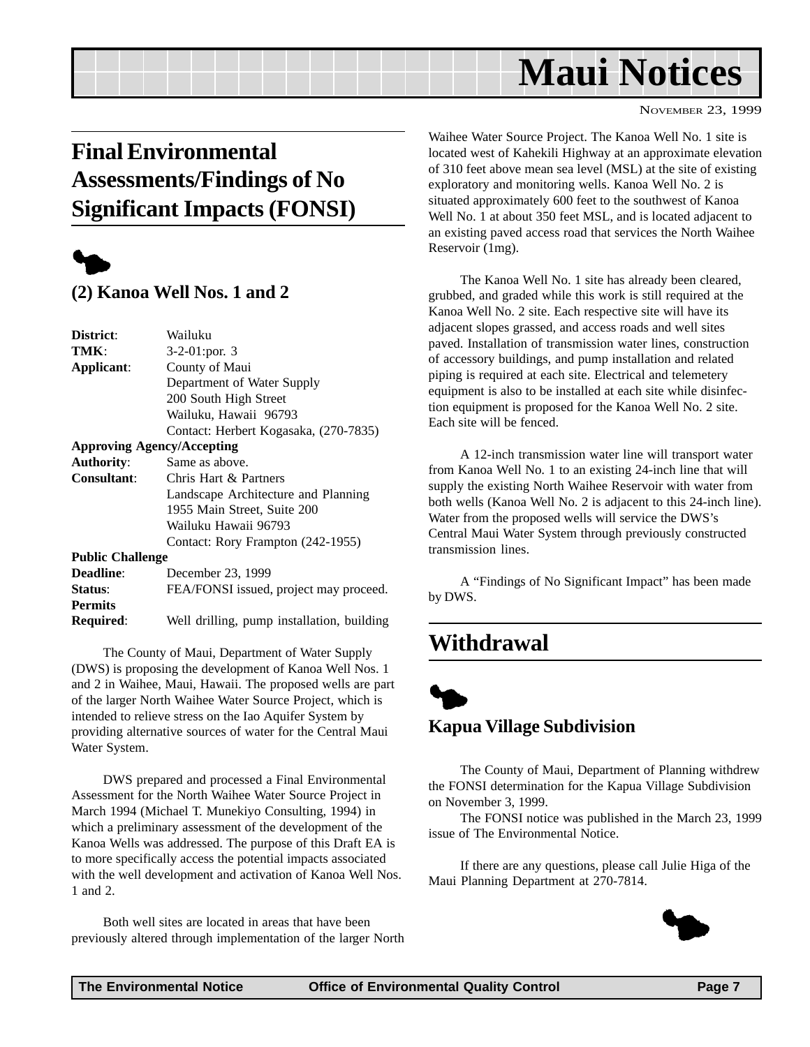## **Maui Notices**

NOVEMBER 23, 1999

## <span id="page-6-0"></span>**Final Environmental Assessments/Findings of No Significant Impacts (FONSI)**



#### **(2) Kanoa Well Nos. 1 and 2**

| District:                         | Wailuku                                    |  |
|-----------------------------------|--------------------------------------------|--|
| TMK:                              | 3-2-01:por. 3                              |  |
| Applicant:                        | County of Maui                             |  |
|                                   | Department of Water Supply                 |  |
|                                   | 200 South High Street                      |  |
|                                   | Wailuku, Hawaii 96793                      |  |
|                                   | Contact: Herbert Kogasaka, (270-7835)      |  |
| <b>Approving Agency/Accepting</b> |                                            |  |
| <b>Authority:</b>                 | Same as above.                             |  |
| <b>Consultant:</b>                | Chris Hart & Partners                      |  |
|                                   | Landscape Architecture and Planning        |  |
|                                   | 1955 Main Street, Suite 200                |  |
|                                   | Wailuku Hawaii 96793                       |  |
|                                   | Contact: Rory Frampton (242-1955)          |  |
| <b>Public Challenge</b>           |                                            |  |
| <b>Deadline:</b>                  | December 23, 1999                          |  |
| Status:                           | FEA/FONSI issued, project may proceed.     |  |
| <b>Permits</b>                    |                                            |  |
| <b>Required:</b>                  | Well drilling, pump installation, building |  |
|                                   |                                            |  |

The County of Maui, Department of Water Supply (DWS) is proposing the development of Kanoa Well Nos. 1 and 2 in Waihee, Maui, Hawaii. The proposed wells are part of the larger North Waihee Water Source Project, which is intended to relieve stress on the Iao Aquifer System by providing alternative sources of water for the Central Maui Water System.

DWS prepared and processed a Final Environmental Assessment for the North Waihee Water Source Project in March 1994 (Michael T. Munekiyo Consulting, 1994) in which a preliminary assessment of the development of the Kanoa Wells was addressed. The purpose of this Draft EA is to more specifically access the potential impacts associated with the well development and activation of Kanoa Well Nos. 1 and 2.

Both well sites are located in areas that have been previously altered through implementation of the larger North Waihee Water Source Project. The Kanoa Well No. 1 site is located west of Kahekili Highway at an approximate elevation of 310 feet above mean sea level (MSL) at the site of existing exploratory and monitoring wells. Kanoa Well No. 2 is situated approximately 600 feet to the southwest of Kanoa Well No. 1 at about 350 feet MSL, and is located adjacent to an existing paved access road that services the North Waihee Reservoir (1mg).

The Kanoa Well No. 1 site has already been cleared, grubbed, and graded while this work is still required at the Kanoa Well No. 2 site. Each respective site will have its adjacent slopes grassed, and access roads and well sites paved. Installation of transmission water lines, construction of accessory buildings, and pump installation and related piping is required at each site. Electrical and telemetery equipment is also to be installed at each site while disinfection equipment is proposed for the Kanoa Well No. 2 site. Each site will be fenced.

A 12-inch transmission water line will transport water from Kanoa Well No. 1 to an existing 24-inch line that will supply the existing North Waihee Reservoir with water from both wells (Kanoa Well No. 2 is adjacent to this 24-inch line). Water from the proposed wells will service the DWS's Central Maui Water System through previously constructed transmission lines.

A "Findings of No Significant Impact" has been made by DWS.

## **Withdrawal**

## $\blacklozenge$ **Kapua Village Subdivision**

The County of Maui, Department of Planning withdrew the FONSI determination for the Kapua Village Subdivision on November 3, 1999.

The FONSI notice was published in the March 23, 1999 issue of The Environmental Notice.

If there are any questions, please call Julie Higa of the Maui Planning Department at 270-7814.

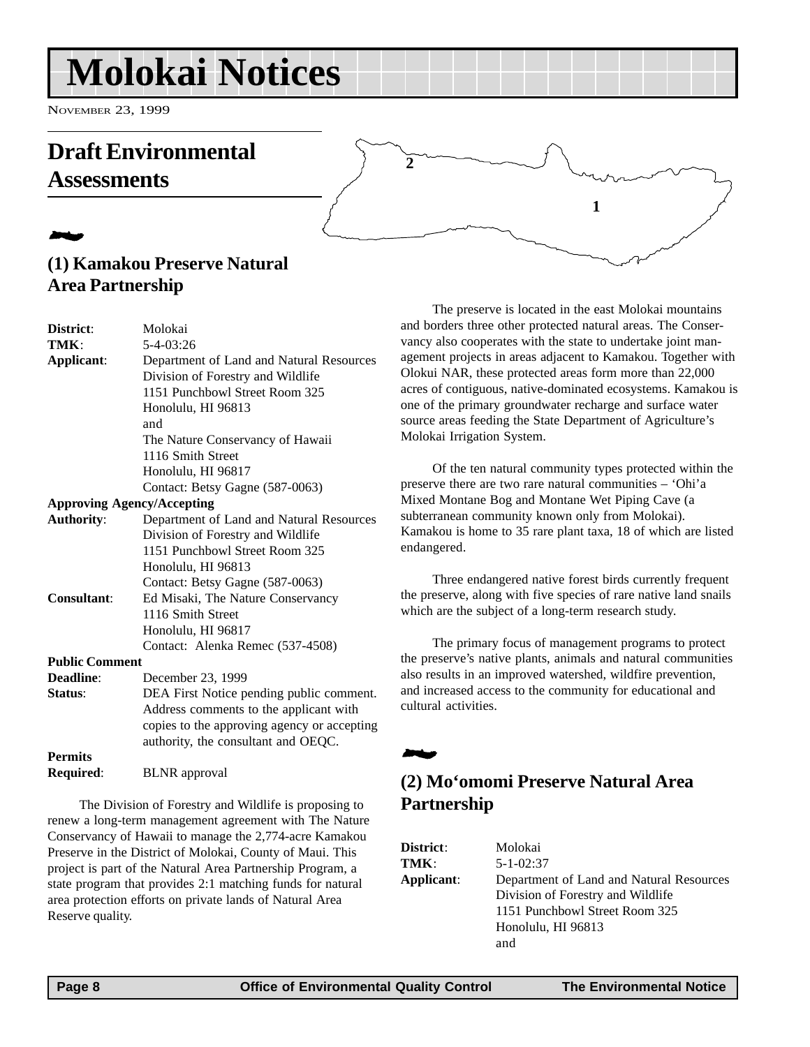## <span id="page-7-0"></span>**Molokai Notices**

NOVEMBER 23, 1999

## **Draft Environmental Assessments**

## 2 **(1) Kamakou Preserve Natural Area Partnership**

| District:             | Molokai                                     |  |  |
|-----------------------|---------------------------------------------|--|--|
| TMK:                  | $5 - 4 - 03:26$                             |  |  |
| Applicant:            | Department of Land and Natural Resources    |  |  |
|                       | Division of Forestry and Wildlife           |  |  |
|                       | 1151 Punchbowl Street Room 325              |  |  |
|                       | Honolulu, HI 96813                          |  |  |
|                       | and                                         |  |  |
|                       | The Nature Conservancy of Hawaii            |  |  |
|                       | 1116 Smith Street                           |  |  |
|                       | Honolulu, HI 96817                          |  |  |
|                       | Contact: Betsy Gagne (587-0063)             |  |  |
|                       | <b>Approving Agency/Accepting</b>           |  |  |
| <b>Authority:</b>     | Department of Land and Natural Resources    |  |  |
|                       | Division of Forestry and Wildlife           |  |  |
|                       | 1151 Punchbowl Street Room 325              |  |  |
|                       | Honolulu, HI 96813                          |  |  |
|                       | Contact: Betsy Gagne (587-0063)             |  |  |
| <b>Consultant:</b>    | Ed Misaki, The Nature Conservancy           |  |  |
|                       | 1116 Smith Street                           |  |  |
|                       | Honolulu, HI 96817                          |  |  |
|                       | Contact: Alenka Remec (537-4508)            |  |  |
| <b>Public Comment</b> |                                             |  |  |
| Deadline:             | December 23, 1999                           |  |  |
| Status:               | DEA First Notice pending public comment.    |  |  |
|                       | Address comments to the applicant with      |  |  |
|                       | copies to the approving agency or accepting |  |  |
|                       | authority, the consultant and OEQC.         |  |  |
| <b>Permits</b>        |                                             |  |  |
| <b>Required:</b>      | <b>BLNR</b> approval                        |  |  |
|                       |                                             |  |  |

The Division of Forestry and Wildlife is proposing to renew a long-term management agreement with The Nature Conservancy of Hawaii to manage the 2,774-acre Kamakou Preserve in the District of Molokai, County of Maui. This project is part of the Natural Area Partnership Program, a state program that provides 2:1 matching funds for natural area protection efforts on private lands of Natural Area Reserve quality.

The preserve is located in the east Molokai mountains and borders three other protected natural areas. The Conservancy also cooperates with the state to undertake joint management projects in areas adjacent to Kamakou. Together with Olokui NAR, these protected areas form more than 22,000 acres of contiguous, native-dominated ecosystems. Kamakou is one of the primary groundwater recharge and surface water source areas feeding the State Department of Agriculture's Molokai Irrigation System.

**1**

Of the ten natural community types protected within the preserve there are two rare natural communities – 'Ohi'a Mixed Montane Bog and Montane Wet Piping Cave (a subterranean community known only from Molokai). Kamakou is home to 35 rare plant taxa, 18 of which are listed endangered.

Three endangered native forest birds currently frequent the preserve, along with five species of rare native land snails which are the subject of a long-term research study.

The primary focus of management programs to protect the preserve's native plants, animals and natural communities also results in an improved watershed, wildfire prevention, and increased access to the community for educational and cultural activities.

## **(2) Mo'omomi Preserve Natural Area Partnership**

| <b>District:</b> | Molokai                                  |  |  |
|------------------|------------------------------------------|--|--|
| TMK:             | $5 - 1 - 02:37$                          |  |  |
| Applicant:       | Department of Land and Natural Resources |  |  |
|                  | Division of Forestry and Wildlife        |  |  |
|                  | 1151 Punchbowl Street Room 325           |  |  |
|                  | Honolulu, HI 96813                       |  |  |
|                  | and                                      |  |  |
|                  |                                          |  |  |

2

**2**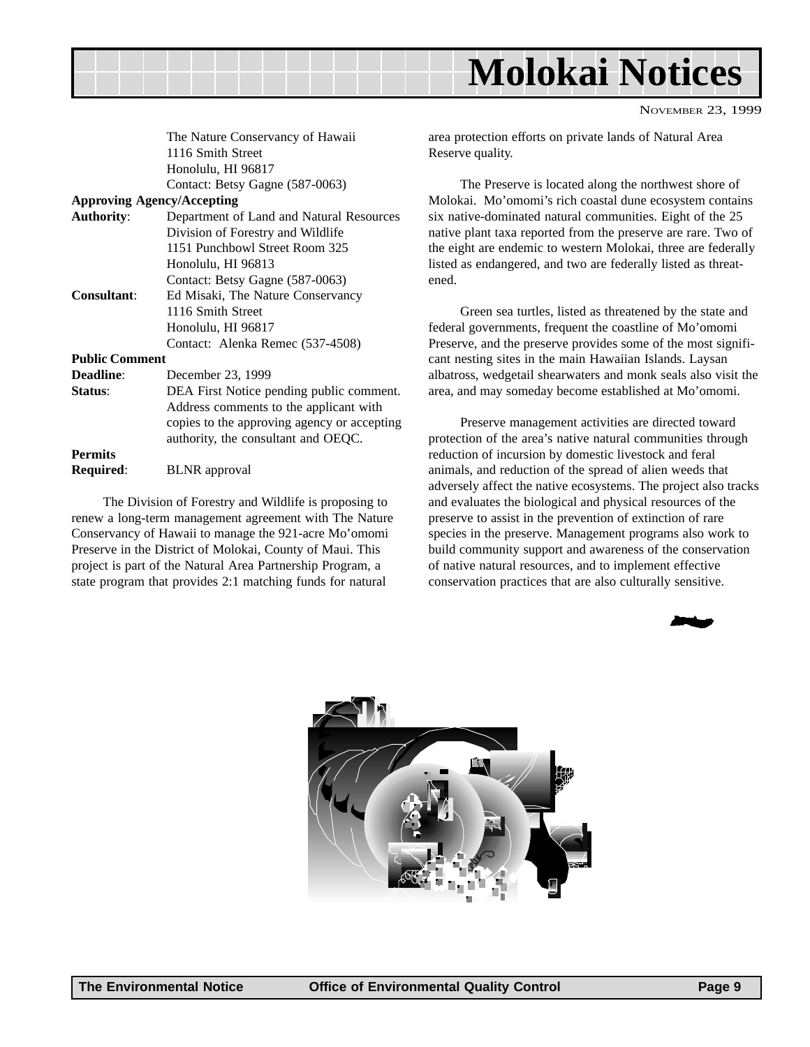

| NOVEMBER 23, 1999 |  |
|-------------------|--|
|                   |  |

The Nature Conservancy of Hawaii 1116 Smith Street Honolulu, HI 96817 Contact: Betsy Gagne (587-0063)

#### **Approving Agency/Accepting**

**Authority**: Department of Land and Natural Resources Division of Forestry and Wildlife 1151 Punchbowl Street Room 325 Honolulu, HI 96813 Contact: Betsy Gagne (587-0063) **Consultant**: Ed Misaki, The Nature Conservancy 1116 Smith Street Honolulu, HI 96817 Contact: Alenka Remec (537-4508)

#### **Public Comment**

**Deadline**: December 23, 1999 **Status**: DEA First Notice pending public comment. Address comments to the applicant with copies to the approving agency or accepting authority, the consultant and OEQC. **Permits Required**: BLNR approval

The Division of Forestry and Wildlife is proposing to renew a long-term management agreement with The Nature Conservancy of Hawaii to manage the 921-acre Mo'omomi Preserve in the District of Molokai, County of Maui. This project is part of the Natural Area Partnership Program, a state program that provides 2:1 matching funds for natural

area protection efforts on private lands of Natural Area Reserve quality.

The Preserve is located along the northwest shore of Molokai. Mo'omomi's rich coastal dune ecosystem contains six native-dominated natural communities. Eight of the 25 native plant taxa reported from the preserve are rare. Two of the eight are endemic to western Molokai, three are federally listed as endangered, and two are federally listed as threatened.

Green sea turtles, listed as threatened by the state and federal governments, frequent the coastline of Mo'omomi Preserve, and the preserve provides some of the most significant nesting sites in the main Hawaiian Islands. Laysan albatross, wedgetail shearwaters and monk seals also visit the area, and may someday become established at Mo'omomi.

Preserve management activities are directed toward protection of the area's native natural communities through reduction of incursion by domestic livestock and feral animals, and reduction of the spread of alien weeds that adversely affect the native ecosystems. The project also tracks and evaluates the biological and physical resources of the preserve to assist in the prevention of extinction of rare species in the preserve. Management programs also work to build community support and awareness of the conservation of native natural resources, and to implement effective conservation practices that are also culturally sensitive.



2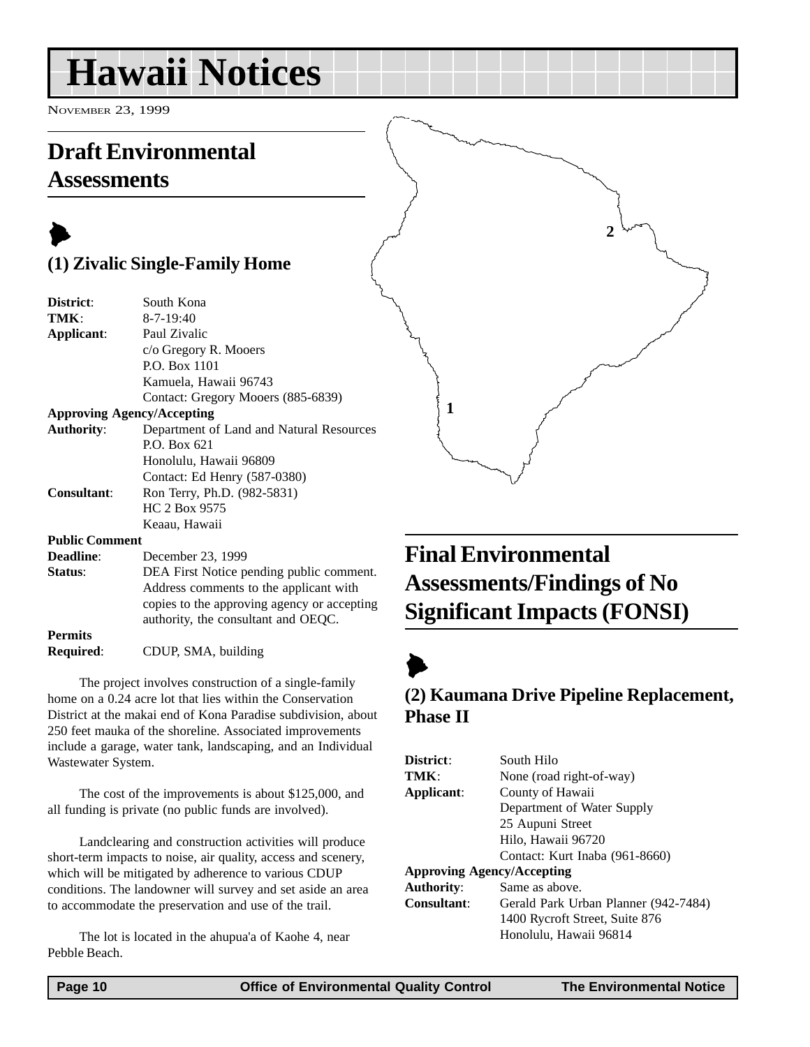## <span id="page-9-0"></span>**Hawaii Notices**

NOVEMBER 23, 1999

## **Draft Environmental Assessments**

## $\blacktriangleright$ **(1) Zivalic Single-Family Home**

| District:                         | South Kona                                  |
|-----------------------------------|---------------------------------------------|
| TMK:                              | $8 - 7 - 19:40$                             |
| Applicant:                        | Paul Zivalic                                |
|                                   | c/o Gregory R. Mooers                       |
|                                   | P.O. Box 1101                               |
|                                   | Kamuela, Hawaii 96743                       |
|                                   | Contact: Gregory Mooers (885-6839)          |
| <b>Approving Agency/Accepting</b> |                                             |
| <b>Authority:</b>                 | Department of Land and Natural Resources    |
|                                   | P.O. Box 621                                |
|                                   | Honolulu, Hawaii 96809                      |
|                                   | Contact: Ed Henry (587-0380)                |
| Consultant:                       | Ron Terry, Ph.D. (982-5831)                 |
|                                   | HC 2 Box 9575                               |
|                                   | Keaau, Hawaii                               |
| <b>Public Comment</b>             |                                             |
| Deadline:                         | December 23, 1999                           |
| Status:                           | DEA First Notice pending public comment.    |
|                                   | Address comments to the applicant with      |
|                                   | copies to the approving agency or accepting |
|                                   | authority, the consultant and OEQC.         |
| <b>Permits</b>                    |                                             |
| Required:                         | CDUP, SMA, building                         |

The project involves construction of a single-family home on a 0.24 acre lot that lies within the Conservation District at the makai end of Kona Paradise subdivision, about 250 feet mauka of the shoreline. Associated improvements include a garage, water tank, landscaping, and an Individual Wastewater System.

The cost of the improvements is about \$125,000, and all funding is private (no public funds are involved).

Landclearing and construction activities will produce short-term impacts to noise, air quality, access and scenery, which will be mitigated by adherence to various CDUP conditions. The landowner will survey and set aside an area to accommodate the preservation and use of the trail.

The lot is located in the ahupua'a of Kaohe 4, near Pebble Beach.

## **Final Environmental Assessments/Findings of No Significant Impacts (FONSI)**

**2**

## $\blacktriangleright$

**1**

### **(2) Kaumana Drive Pipeline Replacement, Phase II**

| District:                         | South Hilo                           |
|-----------------------------------|--------------------------------------|
| TMK:                              | None (road right-of-way)             |
| Applicant:                        | County of Hawaii                     |
|                                   | Department of Water Supply           |
|                                   | 25 Aupuni Street                     |
|                                   | Hilo, Hawaii 96720                   |
|                                   | Contact: Kurt Inaba (961-8660)       |
| <b>Approving Agency/Accepting</b> |                                      |
| <b>Authority:</b>                 | Same as above.                       |
| <b>Consultant:</b>                | Gerald Park Urban Planner (942-7484) |
|                                   | 1400 Rycroft Street, Suite 876       |
|                                   | Honolulu. Hawaii 96814               |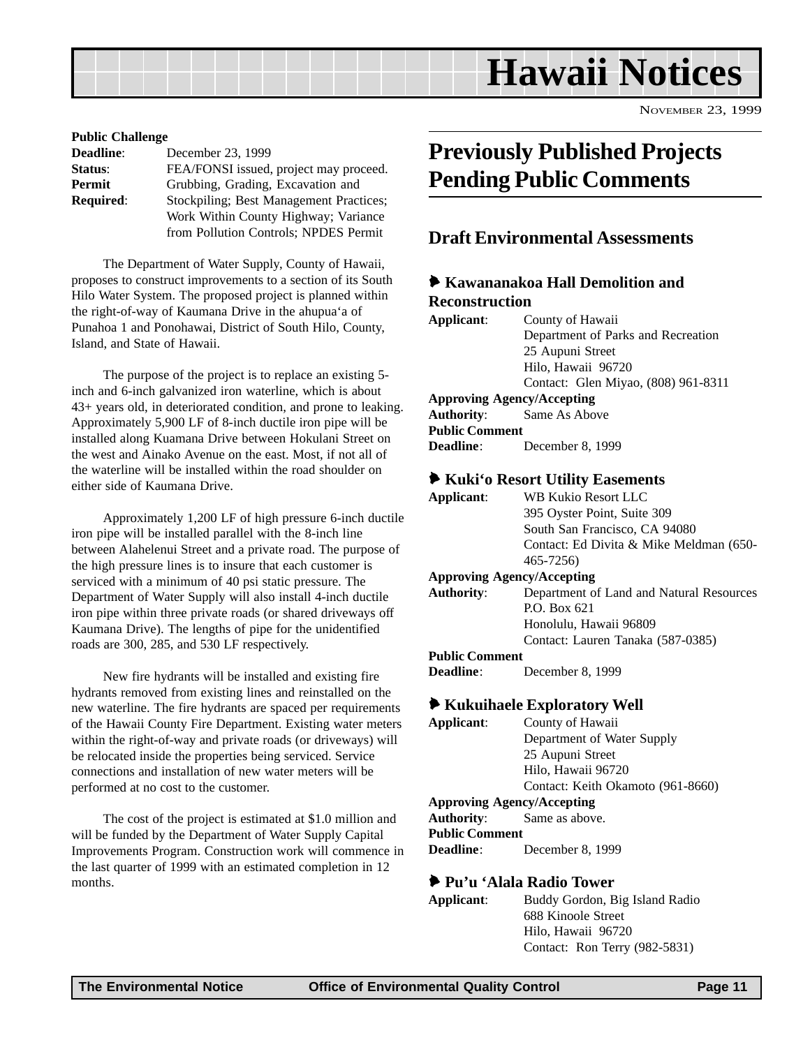<span id="page-10-0"></span>

| <b>Public Challenge</b> |                                         |
|-------------------------|-----------------------------------------|
| <b>Deadline:</b>        | December 23, 1999                       |
| Status:                 | FEA/FONSI issued, project may proceed.  |
| Permit                  | Grubbing, Grading, Excavation and       |
| <b>Required:</b>        | Stockpiling; Best Management Practices; |
|                         | Work Within County Highway; Variance    |
|                         | from Pollution Controls; NPDES Permit   |

The Department of Water Supply, County of Hawaii, proposes to construct improvements to a section of its South Hilo Water System. The proposed project is planned within the right-of-way of Kaumana Drive in the ahupua'a of Punahoa 1 and Ponohawai, District of South Hilo, County, Island, and State of Hawaii.

The purpose of the project is to replace an existing 5 inch and 6-inch galvanized iron waterline, which is about 43+ years old, in deteriorated condition, and prone to leaking. Approximately 5,900 LF of 8-inch ductile iron pipe will be installed along Kuamana Drive between Hokulani Street on the west and Ainako Avenue on the east. Most, if not all of the waterline will be installed within the road shoulder on either side of Kaumana Drive.

Approximately 1,200 LF of high pressure 6-inch ductile iron pipe will be installed parallel with the 8-inch line between Alahelenui Street and a private road. The purpose of the high pressure lines is to insure that each customer is serviced with a minimum of 40 psi static pressure. The Department of Water Supply will also install 4-inch ductile iron pipe within three private roads (or shared driveways off Kaumana Drive). The lengths of pipe for the unidentified roads are 300, 285, and 530 LF respectively.

New fire hydrants will be installed and existing fire hydrants removed from existing lines and reinstalled on the new waterline. The fire hydrants are spaced per requirements of the Hawaii County Fire Department. Existing water meters within the right-of-way and private roads (or driveways) will be relocated inside the properties being serviced. Service connections and installation of new water meters will be performed at no cost to the customer.

The cost of the project is estimated at \$1.0 million and will be funded by the Department of Water Supply Capital Improvements Program. Construction work will commence in the last quarter of 1999 with an estimated completion in 12 months.

## **Previously Published Projects Pending Public Comments**

#### **Draft Environmental Assessments**

#### 6 **Kawananakoa Hall Demolition and Reconstruction**

| Applicant:            | County of Hawaii                    |
|-----------------------|-------------------------------------|
|                       | Department of Parks and Recreation  |
|                       | 25 Aupuni Street                    |
|                       | Hilo, Hawaii 96720                  |
|                       | Contact: Glen Miyao, (808) 961-8311 |
|                       | <b>Approving Agency/Accepting</b>   |
|                       | <b>Authority:</b> Same As Above     |
| <b>Public Comment</b> |                                     |
| <b>Deadline:</b>      | December 8, 1999                    |

#### 6 **Kuki'o Resort Utility Easements**

| Applicant:                 | WB Kukio Resort LLC                      |
|----------------------------|------------------------------------------|
|                            | 395 Oyster Point, Suite 309              |
|                            | South San Francisco, CA 94080            |
|                            | Contact: Ed Divita & Mike Meldman (650-  |
|                            | 465-7256)                                |
| Approving Agency/Accepting |                                          |
| Authority:                 | Department of Land and Natural Resources |
|                            | ו^∠ החת                                  |

#### P.O. Box 621 Honolulu, Hawaii 96809 Contact: Lauren Tanaka (587-0385)

#### **Public Comment**

**Deadline**: December 8, 1999

#### 6 **Kukuihaele Exploratory Well**

**Applicant**: County of Hawaii Department of Water Supply 25 Aupuni Street Hilo, Hawaii 96720 Contact: Keith Okamoto (961-8660) **Approving Agency/Accepting Authority**: Same as above. **Public Comment Deadline**: December 8, 1999

#### 6 **Pu'u 'Alala Radio Tower**

| Applicant: | Buddy Gordon, Big Island Radio |
|------------|--------------------------------|
|            | 688 Kinoole Street             |
|            | Hilo, Hawaii 96720             |
|            | Contact: Ron Terry (982-5831)  |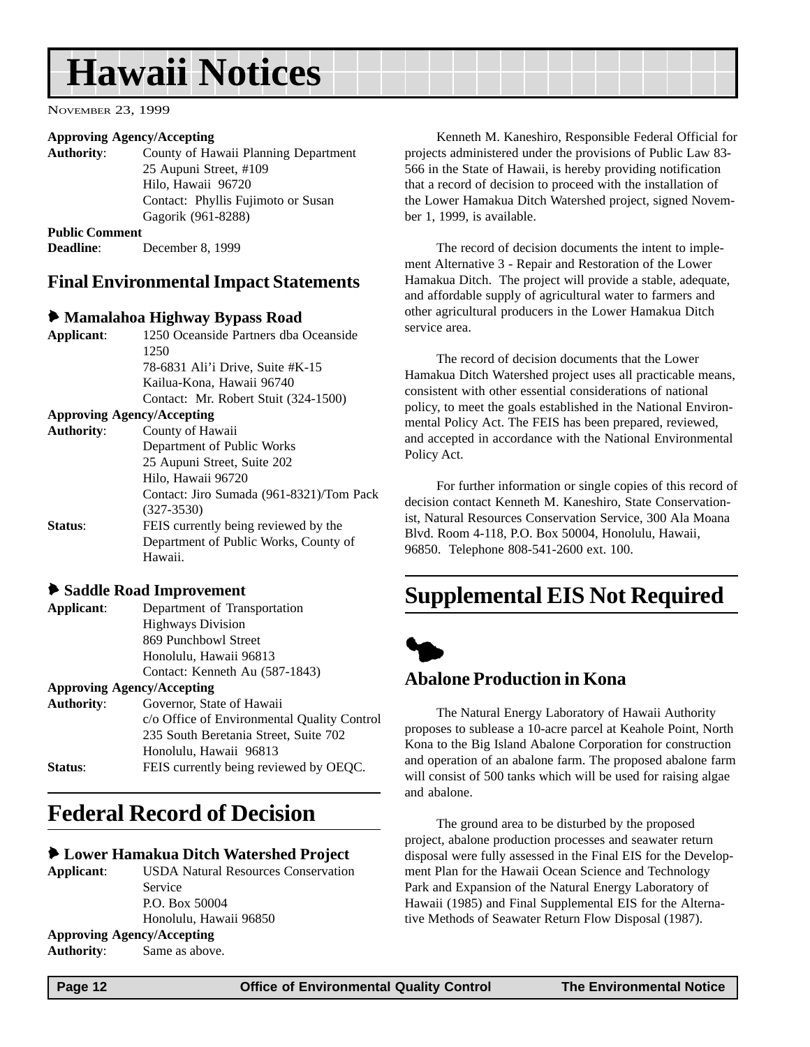## <span id="page-11-0"></span>**Hawaii Notices**

NOVEMBER 23, 1999

#### **Approving Agency/Accepting**

**Authority**: County of Hawaii Planning Department 25 Aupuni Street, #109 Hilo, Hawaii 96720 Contact: Phyllis Fujimoto or Susan Gagorik (961-8288) **Public Comment Deadline**: December 8, 1999

#### **Final Environmental Impact Statements**

#### 6 **Mamalahoa Highway Bypass Road**

| Applicant:        | 1250 Oceanside Partners dha Oceanside    |
|-------------------|------------------------------------------|
|                   | 1250                                     |
|                   | 78-6831 Ali'i Drive, Suite #K-15         |
|                   | Kailua-Kona, Hawaii 96740                |
|                   | Contact: Mr. Robert Stuit (324-1500)     |
|                   | <b>Approving Agency/Accepting</b>        |
| <b>Authority:</b> | County of Hawaii                         |
|                   | Department of Public Works               |
|                   | 25 Aupuni Street, Suite 202              |
|                   | Hilo, Hawaii 96720                       |
|                   | Contact: Jiro Sumada (961-8321)/Tom Pack |
|                   | $(327 - 3530)$                           |
| Status:           | FEIS currently being reviewed by the     |
|                   | Department of Public Works, County of    |
|                   | Hawaii.                                  |

#### 6 **Saddle Road Improvement**

| Contact: Kenneth Au (587-1843) |
|--------------------------------|
|                                |

#### **Approving Agency/Accepting**

| <b>Authority:</b> | Governor, State of Hawaii                   |
|-------------------|---------------------------------------------|
|                   | c/o Office of Environmental Quality Control |
|                   | 235 South Beretania Street, Suite 702       |
|                   | Honolulu, Hawaii 96813                      |
| Status:           | FEIS currently being reviewed by OEQC.      |
|                   |                                             |

## **Federal Record of Decision**

#### 6 **Lower Hamakua Ditch Watershed Project**

**Applicant**: USDA Natural Resources Conservation Service P.O. Box 50004 Honolulu, Hawaii 96850 **Approving Agency/Accepting Authority**: Same as above.

Kenneth M. Kaneshiro, Responsible Federal Official for projects administered under the provisions of Public Law 83- 566 in the State of Hawaii, is hereby providing notification that a record of decision to proceed with the installation of the Lower Hamakua Ditch Watershed project, signed November 1, 1999, is available.

The record of decision documents the intent to implement Alternative 3 - Repair and Restoration of the Lower Hamakua Ditch. The project will provide a stable, adequate, and affordable supply of agricultural water to farmers and other agricultural producers in the Lower Hamakua Ditch service area.

The record of decision documents that the Lower Hamakua Ditch Watershed project uses all practicable means, consistent with other essential considerations of national policy, to meet the goals established in the National Environmental Policy Act. The FEIS has been prepared, reviewed, and accepted in accordance with the National Environmental Policy Act.

For further information or single copies of this record of decision contact Kenneth M. Kaneshiro, State Conservationist, Natural Resources Conservation Service, 300 Ala Moana Blvd. Room 4-118, P.O. Box 50004, Honolulu, Hawaii, 96850. Telephone 808-541-2600 ext. 100.

## **Supplemental EIS Not Required**



#### **Abalone Production in Kona**

The Natural Energy Laboratory of Hawaii Authority proposes to sublease a 10-acre parcel at Keahole Point, North Kona to the Big Island Abalone Corporation for construction and operation of an abalone farm. The proposed abalone farm will consist of 500 tanks which will be used for raising algae and abalone.

The ground area to be disturbed by the proposed project, abalone production processes and seawater return disposal were fully assessed in the Final EIS for the Development Plan for the Hawaii Ocean Science and Technology Park and Expansion of the Natural Energy Laboratory of Hawaii (1985) and Final Supplemental EIS for the Alternative Methods of Seawater Return Flow Disposal (1987).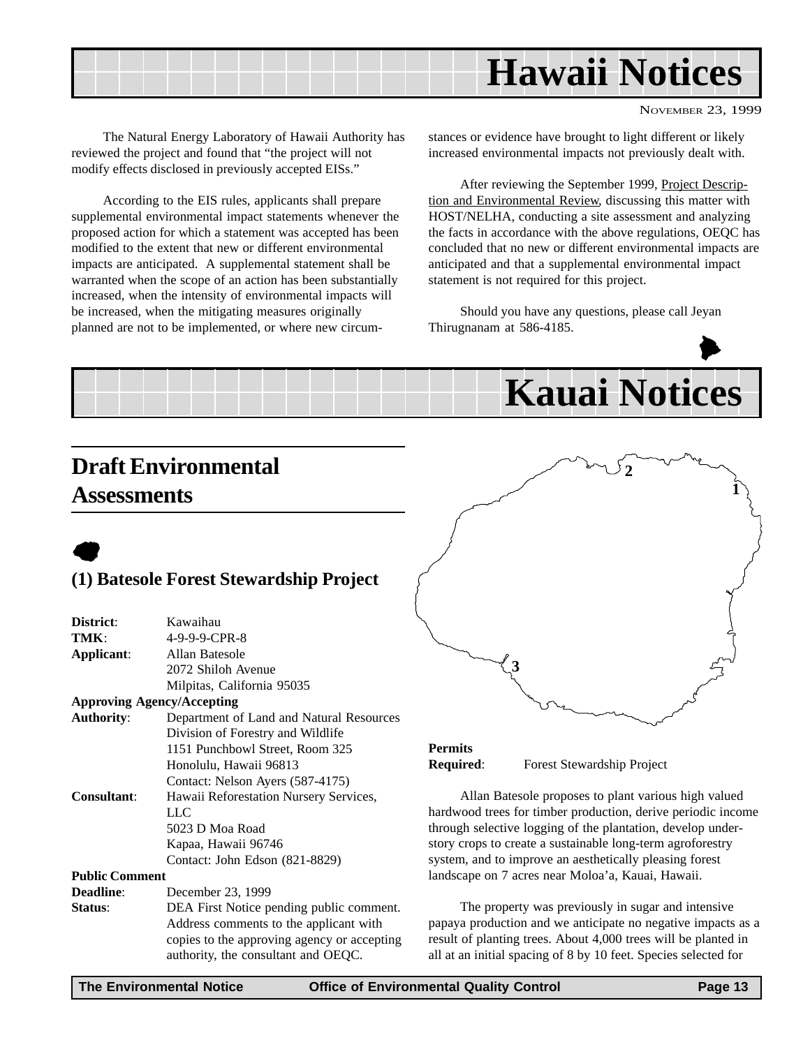<span id="page-12-0"></span>

NOVEMBER 23, 1999

The Natural Energy Laboratory of Hawaii Authority has reviewed the project and found that "the project will not modify effects disclosed in previously accepted EISs."

According to the EIS rules, applicants shall prepare supplemental environmental impact statements whenever the proposed action for which a statement was accepted has been modified to the extent that new or different environmental impacts are anticipated. A supplemental statement shall be warranted when the scope of an action has been substantially increased, when the intensity of environmental impacts will be increased, when the mitigating measures originally planned are not to be implemented, or where new circumstances or evidence have brought to light different or likely increased environmental impacts not previously dealt with.

After reviewing the September 1999, Project Description and Environmental Review, discussing this matter with HOST/NELHA, conducting a site assessment and analyzing the facts in accordance with the above regulations, OEQC has concluded that no new or different environmental impacts are anticipated and that a supplemental environmental impact statement is not required for this project.

Should you have any questions, please call Jeyan Thirugnanam at 586-4185.



## **Draft Environmental Assessments**

 $\bullet$ 

#### **(1) Batesole Forest Stewardship Project**

| District:             | Kawaihau                                 |
|-----------------------|------------------------------------------|
| TMK:                  | 4-9-9-9-CPR-8                            |
| Applicant:            | Allan Batesole                           |
|                       | 2072 Shiloh Avenue                       |
|                       | Milpitas, California 95035               |
|                       | <b>Approving Agency/Accepting</b>        |
| <b>Authority:</b>     | Department of Land and Natural Resources |
|                       | Division of Forestry and Wildlife        |
|                       | 1151 Punchbowl Street, Room 325          |
|                       | Honolulu, Hawaii 96813                   |
|                       | Contact: Nelson Ayers (587-4175)         |
| <b>Consultant:</b>    | Hawaii Reforestation Nursery Services,   |
|                       | LLC                                      |
|                       | 5023 D Moa Road                          |
|                       | Kapaa, Hawaii 96746                      |
|                       | Contact: John Edson (821-8829)           |
| <b>Public Comment</b> |                                          |
| Deadline:             | December 23, 1999                        |
|                       |                                          |

**Status**: DEA First Notice pending public comment. Address comments to the applicant with copies to the approving agency or accepting authority, the consultant and OEQC.



#### **Permits Required**: Forest Stewardship Project

Allan Batesole proposes to plant various high valued hardwood trees for timber production, derive periodic income through selective logging of the plantation, develop understory crops to create a sustainable long-term agroforestry system, and to improve an aesthetically pleasing forest landscape on 7 acres near Moloa'a, Kauai, Hawaii.

The property was previously in sugar and intensive papaya production and we anticipate no negative impacts as a result of planting trees. About 4,000 trees will be planted in all at an initial spacing of 8 by 10 feet. Species selected for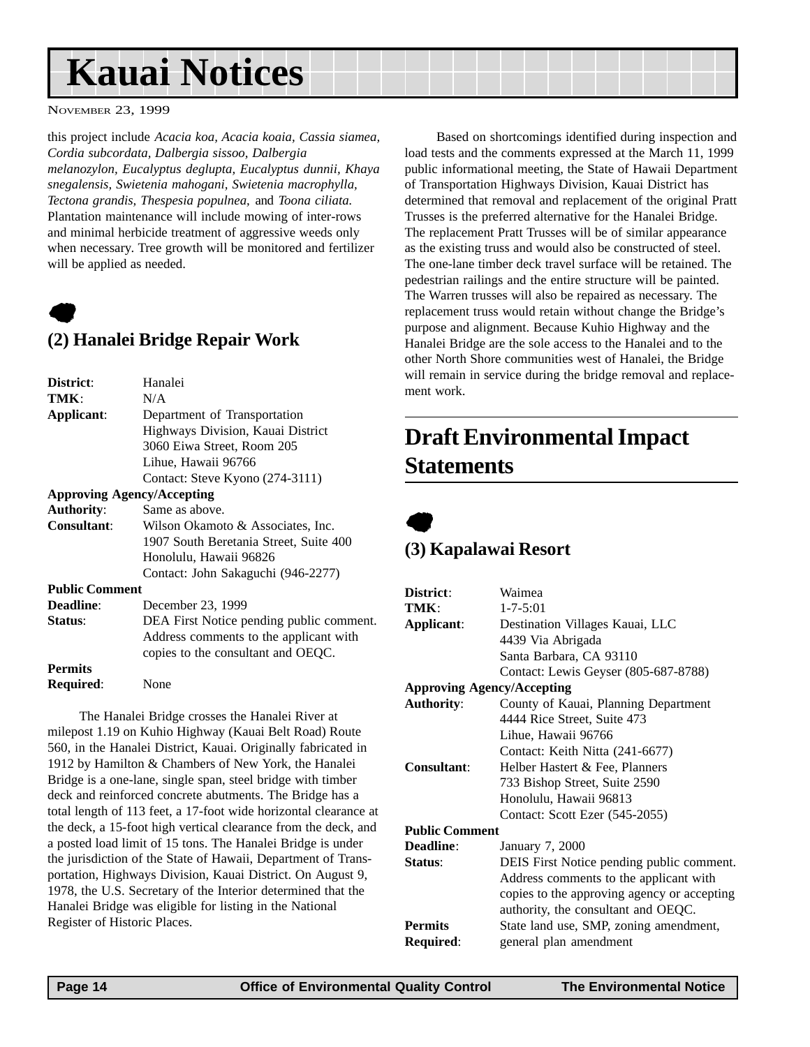## <span id="page-13-0"></span>**Kauai Notices**

NOVEMBER 23, 1999

this project include *Acacia koa, Acacia koaia, Cassia siamea, Cordia subcordata, Dalbergia sissoo, Dalbergia melanozylon, Eucalyptus deglupta, Eucalyptus dunnii, Khaya snegalensis, Swietenia mahogani, Swietenia macrophylla, Tectona grandis, Thespesia populnea,* and *Toona ciliata.* Plantation maintenance will include mowing of inter-rows and minimal herbicide treatment of aggressive weeds only when necessary. Tree growth will be monitored and fertilizer will be applied as needed.



## **(2) Hanalei Bridge Repair Work**

| <b>District:</b>                  | Hanalei                                  |
|-----------------------------------|------------------------------------------|
| TMK:                              | N/A                                      |
| Applicant:                        | Department of Transportation             |
|                                   | Highways Division, Kauai District        |
|                                   | 3060 Eiwa Street, Room 205               |
|                                   | Lihue, Hawaii 96766                      |
|                                   | Contact: Steve Kyono (274-3111)          |
| <b>Approving Agency/Accepting</b> |                                          |
| <b>Authority:</b>                 | Same as above.                           |
| Consultant:                       | Wilson Okamoto & Associates, Inc.        |
|                                   | 1907 South Beretania Street, Suite 400   |
|                                   | Honolulu, Hawaii 96826                   |
|                                   | Contact: John Sakaguchi (946-2277)       |
| <b>Public Comment</b>             |                                          |
| Deadline:                         | December 23, 1999                        |
| Status:                           | DEA First Notice pending public comment. |
|                                   | Address comments to the applicant with   |
|                                   | copies to the consultant and OEQC.       |
| <b>Permits</b>                    |                                          |
| <b>Required:</b>                  | None                                     |
|                                   |                                          |

The Hanalei Bridge crosses the Hanalei River at milepost 1.19 on Kuhio Highway (Kauai Belt Road) Route 560, in the Hanalei District, Kauai. Originally fabricated in 1912 by Hamilton & Chambers of New York, the Hanalei Bridge is a one-lane, single span, steel bridge with timber deck and reinforced concrete abutments. The Bridge has a total length of 113 feet, a 17-foot wide horizontal clearance at the deck, a 15-foot high vertical clearance from the deck, and a posted load limit of 15 tons. The Hanalei Bridge is under the jurisdiction of the State of Hawaii, Department of Transportation, Highways Division, Kauai District. On August 9, 1978, the U.S. Secretary of the Interior determined that the Hanalei Bridge was eligible for listing in the National Register of Historic Places.

Based on shortcomings identified during inspection and load tests and the comments expressed at the March 11, 1999 public informational meeting, the State of Hawaii Department of Transportation Highways Division, Kauai District has determined that removal and replacement of the original Pratt Trusses is the preferred alternative for the Hanalei Bridge. The replacement Pratt Trusses will be of similar appearance as the existing truss and would also be constructed of steel. The one-lane timber deck travel surface will be retained. The pedestrian railings and the entire structure will be painted. The Warren trusses will also be repaired as necessary. The replacement truss would retain without change the Bridge's purpose and alignment. Because Kuhio Highway and the Hanalei Bridge are the sole access to the Hanalei and to the other North Shore communities west of Hanalei, the Bridge will remain in service during the bridge removal and replacement work.

## **Draft Environmental Impact Statements**



#### **(3) Kapalawai Resort**

| Waimea                                      |
|---------------------------------------------|
| $1 - 7 - 5:01$                              |
| Destination Villages Kauai, LLC             |
| 4439 Via Abrigada                           |
| Santa Barbara, CA 93110                     |
| Contact: Lewis Geyser (805-687-8788)        |
| <b>Approving Agency/Accepting</b>           |
| County of Kauai, Planning Department        |
| 4444 Rice Street, Suite 473                 |
| Lihue, Hawaii 96766                         |
| Contact: Keith Nitta (241-6677)             |
| Helber Hastert & Fee, Planners              |
| 733 Bishop Street, Suite 2590               |
| Honolulu, Hawaii 96813                      |
| Contact: Scott Ezer (545-2055)              |
| <b>Public Comment</b>                       |
| January 7, 2000                             |
| DEIS First Notice pending public comment.   |
| Address comments to the applicant with      |
| copies to the approving agency or accepting |
| authority, the consultant and OEQC.         |
| State land use, SMP, zoning amendment,      |
| general plan amendment                      |
|                                             |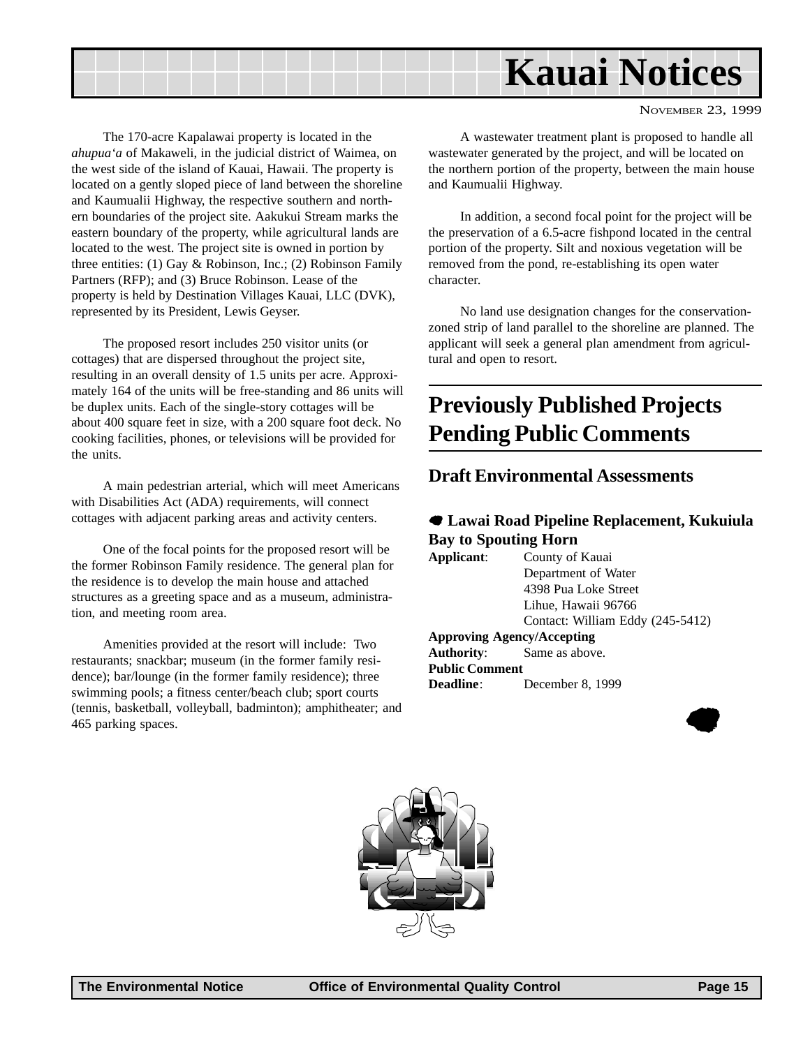<span id="page-14-0"></span>

The 170-acre Kapalawai property is located in the *ahupua'a* of Makaweli, in the judicial district of Waimea, on the west side of the island of Kauai, Hawaii. The property is located on a gently sloped piece of land between the shoreline and Kaumualii Highway, the respective southern and northern boundaries of the project site. Aakukui Stream marks the eastern boundary of the property, while agricultural lands are located to the west. The project site is owned in portion by three entities: (1) Gay & Robinson, Inc.; (2) Robinson Family Partners (RFP); and (3) Bruce Robinson. Lease of the property is held by Destination Villages Kauai, LLC (DVK), represented by its President, Lewis Geyser.

The proposed resort includes 250 visitor units (or cottages) that are dispersed throughout the project site, resulting in an overall density of 1.5 units per acre. Approximately 164 of the units will be free-standing and 86 units will be duplex units. Each of the single-story cottages will be about 400 square feet in size, with a 200 square foot deck. No cooking facilities, phones, or televisions will be provided for the units.

A main pedestrian arterial, which will meet Americans with Disabilities Act (ADA) requirements, will connect cottages with adjacent parking areas and activity centers.

One of the focal points for the proposed resort will be the former Robinson Family residence. The general plan for the residence is to develop the main house and attached structures as a greeting space and as a museum, administration, and meeting room area.

Amenities provided at the resort will include: Two restaurants; snackbar; museum (in the former family residence); bar/lounge (in the former family residence); three swimming pools; a fitness center/beach club; sport courts (tennis, basketball, volleyball, badminton); amphitheater; and 465 parking spaces.

A wastewater treatment plant is proposed to handle all wastewater generated by the project, and will be located on the northern portion of the property, between the main house and Kaumualii Highway.

In addition, a second focal point for the project will be the preservation of a 6.5-acre fishpond located in the central portion of the property. Silt and noxious vegetation will be removed from the pond, re-establishing its open water character.

No land use designation changes for the conservationzoned strip of land parallel to the shoreline are planned. The applicant will seek a general plan amendment from agricultural and open to resort.

## **Previously Published Projects Pending Public Comments**

#### **Draft Environmental Assessments**

#### 7 **Lawai Road Pipeline Replacement, Kukuiula Bay to Spouting Horn**

| Applicant:                        | County of Kauai                  |  |  |
|-----------------------------------|----------------------------------|--|--|
|                                   | Department of Water              |  |  |
|                                   | 4398 Pua Loke Street             |  |  |
|                                   | Lihue, Hawaii 96766              |  |  |
|                                   | Contact: William Eddy (245-5412) |  |  |
| <b>Approving Agency/Accepting</b> |                                  |  |  |
| <b>Authority:</b> Same as above.  |                                  |  |  |
| <b>Public Comment</b>             |                                  |  |  |
| <b>Deadline:</b>                  | December 8, 1999                 |  |  |
|                                   |                                  |  |  |



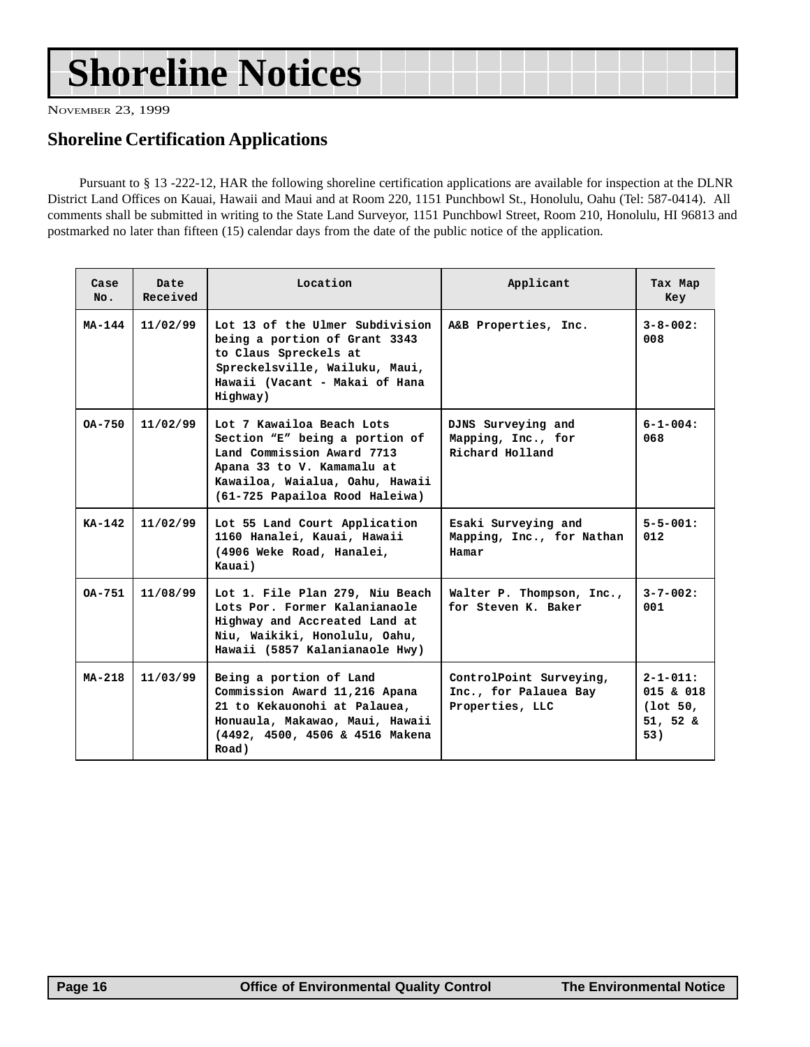## **Shoreline Notices**

NOVEMBER 23, 1999

## **Shoreline Certification Applications**

Pursuant to § 13 -222-12, HAR the following shoreline certification applications are available for inspection at the DLNR District Land Offices on Kauai, Hawaii and Maui and at Room 220, 1151 Punchbowl St., Honolulu, Oahu (Tel: 587-0414). All comments shall be submitted in writing to the State Land Surveyor, 1151 Punchbowl Street, Room 210, Honolulu, HI 96813 and postmarked no later than fifteen (15) calendar days from the date of the public notice of the application.

| Case<br>No. | Date<br>Received | Location                                                                                                                                                                                     | Applicant                                                           | Tax Map<br>Key                                                   |
|-------------|------------------|----------------------------------------------------------------------------------------------------------------------------------------------------------------------------------------------|---------------------------------------------------------------------|------------------------------------------------------------------|
| MA-144      | 11/02/99         | Lot 13 of the Ulmer Subdivision<br>being a portion of Grant 3343<br>to Claus Spreckels at<br>Spreckelsville, Wailuku, Maui,<br>Hawaii (Vacant - Makai of Hana<br>Highway)                    | A&B Properties, Inc.                                                | $3 - 8 - 002$ :<br>008                                           |
| $0A - 750$  | 11/02/99         | Lot 7 Kawailoa Beach Lots<br>Section "E" being a portion of<br>Land Commission Award 7713<br>Apana 33 to V. Kamamalu at<br>Kawailoa, Waialua, Oahu, Hawaii<br>(61-725 Papailoa Rood Haleiwa) | DJNS Surveying and<br>Mapping, Inc., for<br>Richard Holland         | $6 - 1 - 004$ :<br>068                                           |
| $KA-142$    | 11/02/99         | Lot 55 Land Court Application<br>1160 Hanalei, Kauai, Hawaii<br>(4906 Weke Road, Hanalei,<br>Kauai)                                                                                          | Esaki Surveying and<br>Mapping, Inc., for Nathan<br>Hamar           | $5 - 5 - 001$ :<br>012                                           |
| $0A - 751$  | 11/08/99         | Lot 1. File Plan 279, Niu Beach<br>Lots Por. Former Kalanianaole<br>Highway and Accreated Land at<br>Niu, Waikiki, Honolulu, Oahu,<br>Hawaii (5857 Kalanianaole Hwy)                         | Walter P. Thompson, Inc.,<br>for Steven K. Baker                    | $3 - 7 - 002$ :<br>001                                           |
| $MA - 218$  | 11/03/99         | Being a portion of Land<br>Commission Award 11,216 Apana<br>21 to Kekauonohi at Palauea,<br>Honuaula, Makawao, Maui, Hawaii<br>(4492, 4500, 4506 & 4516 Makena<br>Road)                      | ControlPoint Surveying,<br>Inc., for Palauea Bay<br>Properties, LLC | $2 - 1 - 011:$<br>015 & 018<br>$(1$ ot 50,<br>$51, 52 \&$<br>53) |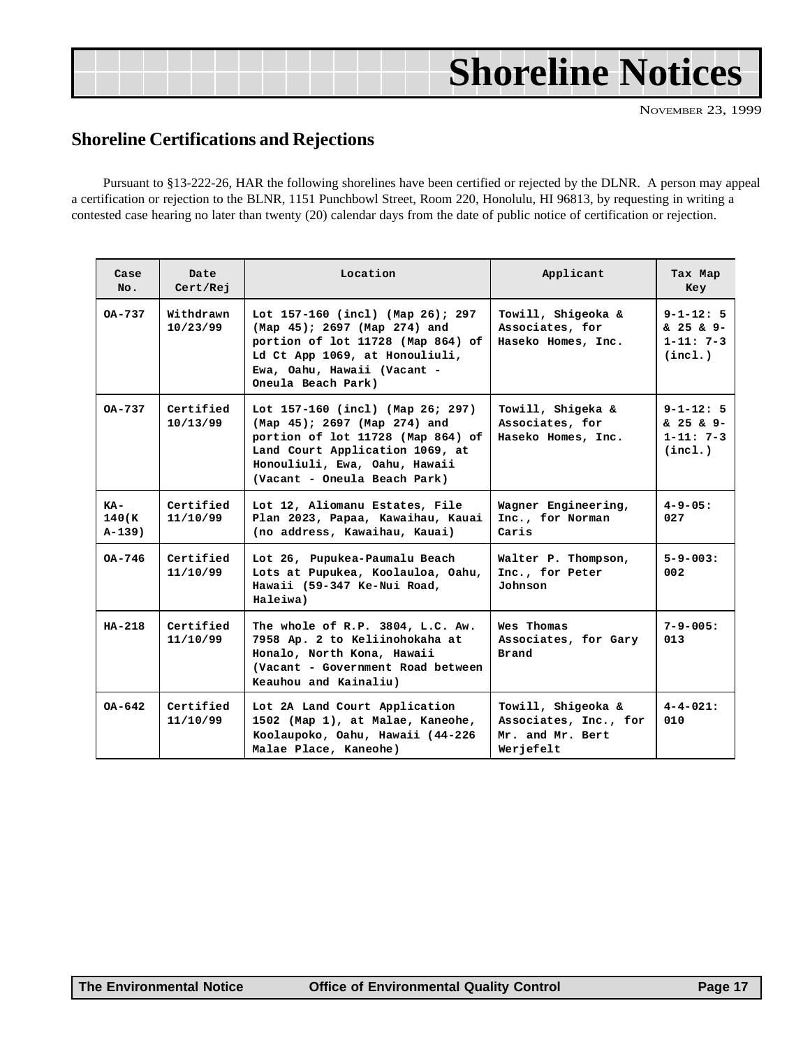<span id="page-16-0"></span>

|  | <b>Shoreline Notices</b> |  |
|--|--------------------------|--|
|  |                          |  |

#### **Shoreline Certifications and Rejections**

Pursuant to §13-222-26, HAR the following shorelines have been certified or rejected by the DLNR. A person may appeal a certification or rejection to the BLNR, 1151 Punchbowl Street, Room 220, Honolulu, HI 96813, by requesting in writing a contested case hearing no later than twenty (20) calendar days from the date of public notice of certification or rejection.

| Case<br>No.                | Date<br>Cert/Rej      | Location                                                                                                                                                                                                  | Applicant                                                                    | Tax Map<br>Key                                            |
|----------------------------|-----------------------|-----------------------------------------------------------------------------------------------------------------------------------------------------------------------------------------------------------|------------------------------------------------------------------------------|-----------------------------------------------------------|
| OA-737                     | Withdrawn<br>10/23/99 | Lot 157-160 (incl) (Map 26); 297<br>(Map 45); 2697 (Map 274) and<br>portion of lot 11728 (Map 864) of<br>Ld Ct App 1069, at Honouliuli,<br>Ewa, Oahu, Hawaii (Vacant -<br>Oneula Beach Park)              | Towill, Shigeoka &<br>Associates, for<br>Haseko Homes, Inc.                  | $9 - 1 - 12:5$<br>& 25 & 9-<br>$1 - 11: 7 - 3$<br>(incl.) |
| OA-737                     | Certified<br>10/13/99 | Lot 157-160 (incl) (Map 26; 297)<br>(Map 45); 2697 (Map 274) and<br>portion of lot 11728 (Map 864) of<br>Land Court Application 1069, at<br>Honouliuli, Ewa, Oahu, Hawaii<br>(Vacant - Oneula Beach Park) | Towill, Shigeka &<br>Associates, for<br>Haseko Homes, Inc.                   | $9 - 1 - 12:5$<br>& 25 & 9-<br>$1 - 11: 7 - 3$<br>(inc1.) |
| KA-<br>140(K)<br>$A-139$ ) | Certified<br>11/10/99 | Lot 12, Aliomanu Estates, File<br>Plan 2023, Papaa, Kawaihau, Kauai<br>(no address, Kawaihau, Kauai)                                                                                                      | Wagner Engineering,<br>Inc., for Norman<br>Caris                             | $4 - 9 - 05:$<br>027                                      |
| OA-746                     | Certified<br>11/10/99 | Lot 26, Pupukea-Paumalu Beach<br>Lots at Pupukea, Koolauloa, Oahu,<br>Hawaii (59-347 Ke-Nui Road,<br>Haleiwa)                                                                                             | Walter P. Thompson,<br>Inc., for Peter<br>Johnson                            | $5 - 9 - 003:$<br>002                                     |
| $HA-218$                   | Certified<br>11/10/99 | The whole of R.P. 3804, L.C. Aw.<br>7958 Ap. 2 to Keliinohokaha at<br>Honalo, North Kona, Hawaii<br>(Vacant - Government Road between<br>Keauhou and Kainaliu)                                            | Wes Thomas<br>Associates, for Gary<br>Brand                                  | $7 - 9 - 005:$<br>013                                     |
| $OA - 642$                 | Certified<br>11/10/99 | Lot 2A Land Court Application<br>1502 (Map 1), at Malae, Kaneohe,<br>Koolaupoko, Oahu, Hawaii (44-226<br>Malae Place, Kaneohe)                                                                            | Towill, Shigeoka &<br>Associates, Inc., for<br>Mr. and Mr. Bert<br>Werjefelt | $4 - 4 - 021:$<br>010                                     |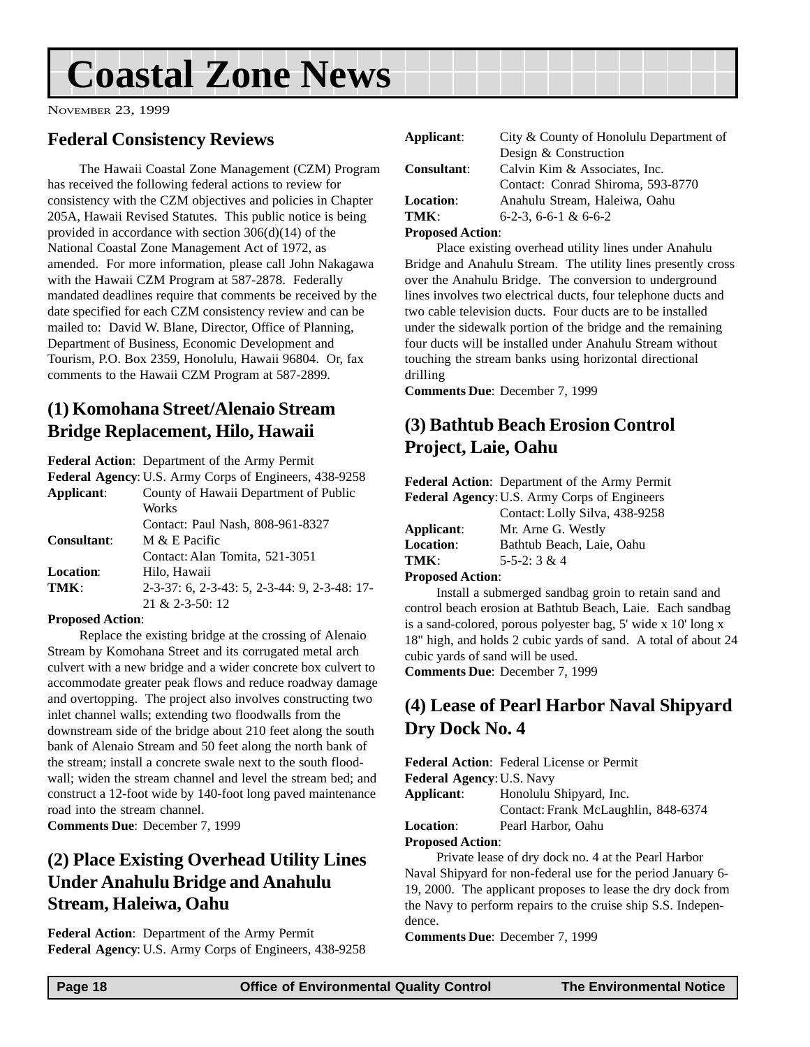## <span id="page-17-0"></span>**Coastal Zone News**

NOVEMBER 23, 1999

### **Federal Consistency Reviews**

The Hawaii Coastal Zone Management (CZM) Program has received the following federal actions to review for consistency with the CZM objectives and policies in Chapter 205A, Hawaii Revised Statutes. This public notice is being provided in accordance with section 306(d)(14) of the National Coastal Zone Management Act of 1972, as amended. For more information, please call John Nakagawa with the Hawaii CZM Program at 587-2878. Federally mandated deadlines require that comments be received by the date specified for each CZM consistency review and can be mailed to: David W. Blane, Director, Office of Planning, Department of Business, Economic Development and Tourism, P.O. Box 2359, Honolulu, Hawaii 96804. Or, fax comments to the Hawaii CZM Program at 587-2899.

## **(1) Komohana Street/Alenaio Stream Bridge Replacement, Hilo, Hawaii**

**Federal Action**: Department of the Army Permit

|                    | Federal Agency: U.S. Army Corps of Engineers, 438-9258 |
|--------------------|--------------------------------------------------------|
| Applicant:         | County of Hawaii Department of Public                  |
|                    | Works                                                  |
|                    | Contact: Paul Nash, 808-961-8327                       |
| <b>Consultant:</b> | M & E Pacific                                          |
|                    | Contact: Alan Tomita, 521-3051                         |
| <b>Location:</b>   | Hilo, Hawaii                                           |
| TMK:               | 2-3-37: 6, 2-3-43: 5, 2-3-44: 9, 2-3-48: 17-           |
|                    | $21 & 2 - 3 - 50$ : 12                                 |

#### **Proposed Action**:

Replace the existing bridge at the crossing of Alenaio Stream by Komohana Street and its corrugated metal arch culvert with a new bridge and a wider concrete box culvert to accommodate greater peak flows and reduce roadway damage and overtopping. The project also involves constructing two inlet channel walls; extending two floodwalls from the downstream side of the bridge about 210 feet along the south bank of Alenaio Stream and 50 feet along the north bank of the stream; install a concrete swale next to the south floodwall; widen the stream channel and level the stream bed; and construct a 12-foot wide by 140-foot long paved maintenance road into the stream channel.

**Comments Due**: December 7, 1999

## **(2) Place Existing Overhead Utility Lines Under Anahulu Bridge and Anahulu Stream, Haleiwa, Oahu**

**Federal Action**: Department of the Army Permit **Federal Agency**: U.S. Army Corps of Engineers, 438-9258

| Applicant:         | City & County of Honolulu Department of |
|--------------------|-----------------------------------------|
|                    | Design & Construction                   |
| <b>Consultant:</b> | Calvin Kim & Associates, Inc.           |
|                    | Contact: Conrad Shiroma, 593-8770       |
| <b>Location:</b>   | Anahulu Stream, Haleiwa, Oahu           |
| $TMK^+$            | $6-2-3$ , $6-6-1$ & $6-6-2$             |
|                    |                                         |

#### **Proposed Action**:

Place existing overhead utility lines under Anahulu Bridge and Anahulu Stream. The utility lines presently cross over the Anahulu Bridge. The conversion to underground lines involves two electrical ducts, four telephone ducts and two cable television ducts. Four ducts are to be installed under the sidewalk portion of the bridge and the remaining four ducts will be installed under Anahulu Stream without touching the stream banks using horizontal directional drilling

**Comments Due**: December 7, 1999

## **(3) Bathtub Beach Erosion Control Project, Laie, Oahu**

**Federal Action**: Department of the Army Permit

|                  | <b>Federal Agency: U.S. Army Corps of Engineers</b> |
|------------------|-----------------------------------------------------|
|                  | Contact: Lolly Silva, 438-9258                      |
| Applicant:       | Mr. Arne G. Westly                                  |
| <b>Location:</b> | Bathtub Beach, Laie, Oahu                           |
| TMK :            | $5 - 5 - 2: 3 \& 4$                                 |
|                  |                                                     |

#### **Proposed Action**:

Install a submerged sandbag groin to retain sand and control beach erosion at Bathtub Beach, Laie. Each sandbag is a sand-colored, porous polyester bag, 5' wide x 10' long x 18" high, and holds 2 cubic yards of sand. A total of about 24 cubic yards of sand will be used.

**Comments Due**: December 7, 1999

## **(4) Lease of Pearl Harbor Naval Shipyard Dry Dock No. 4**

**Federal Action**: Federal License or Permit **Federal Agency**:U.S. Navy

**Applicant**: Honolulu Shipyard, Inc. Contact: Frank McLaughlin, 848-6374

**Location**: Pearl Harbor, Oahu

#### **Proposed Action**:

Private lease of dry dock no. 4 at the Pearl Harbor Naval Shipyard for non-federal use for the period January 6- 19, 2000. The applicant proposes to lease the dry dock from the Navy to perform repairs to the cruise ship S.S. Independence.

**Comments Due**: December 7, 1999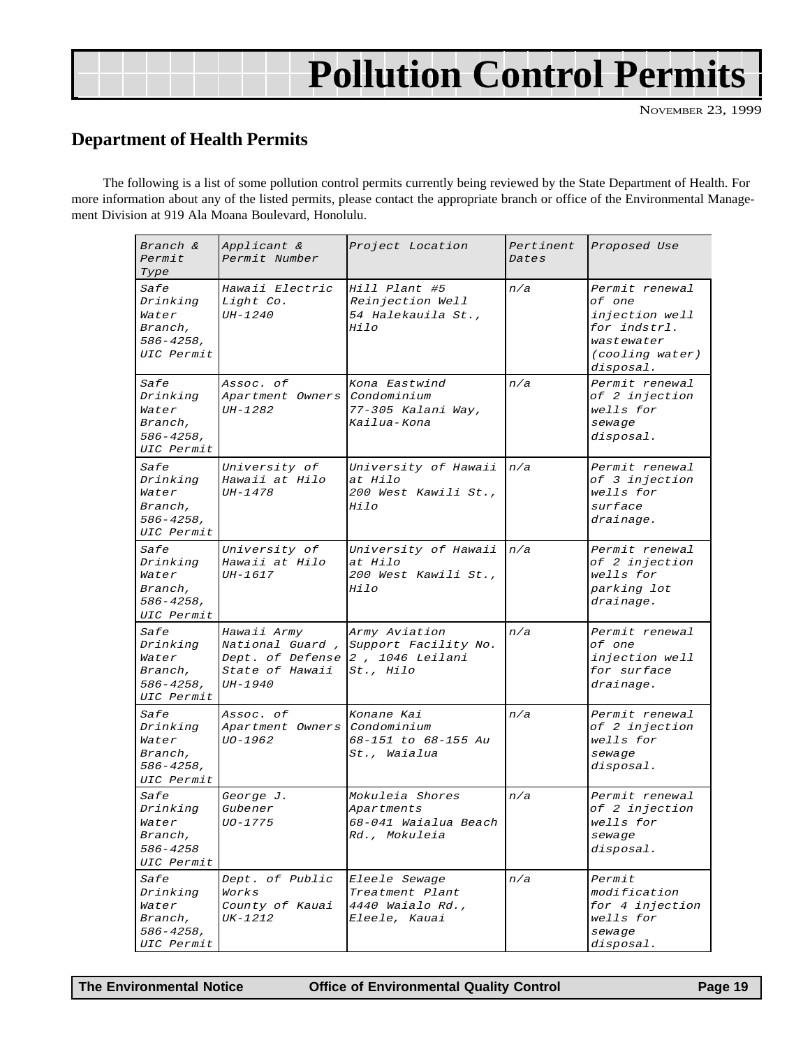## **Pollution Control Permits**

NOVEMBER 23, 1999

## <span id="page-18-0"></span>**Department of Health Permits**

The following is a list of some pollution control permits currently being reviewed by the State Department of Health. For more information about any of the listed permits, please contact the appropriate branch or office of the Environmental Management Division at 919 Ala Moana Boulevard, Honolulu.

| Branch &<br>Permit<br>Type                                                  | Applicant &<br>Permit Number                                                                            | Project Location                                                              | Pertinent<br>Dates | Proposed Use                                                                                             |
|-----------------------------------------------------------------------------|---------------------------------------------------------------------------------------------------------|-------------------------------------------------------------------------------|--------------------|----------------------------------------------------------------------------------------------------------|
| <i>Safe</i><br>Drinking<br>Water<br>Branch,<br>$586 - 4258$ ,<br>UIC Permit | Hawaii Electric<br>Light Co.<br>UH-1240                                                                 | Hill Plant #5<br>Reinjection Well<br>54 Halekauila St.,<br>$Hi$ $10$          | n/a                | Permit renewal<br>of one<br>injection well<br>for indstrl.<br>wastewater<br>(cooling water)<br>disposal. |
| <i>Safe</i><br>Drinking<br>Water<br>Branch,<br>$586 - 4258$ ,<br>UIC Permit | Assoc. of<br>Apartment Owners<br><i>UH-1282</i>                                                         | Kona Eastwind<br>Condominium<br>77-305 Kalani Way,<br>Kailua-Kona             | n/a                | Permit renewal<br>of 2 injection<br>wells for<br>sewage<br>disposal.                                     |
| <i>Safe</i><br>Drinking<br>Water<br>Branch,<br>$586 - 4258$ ,<br>UIC Permit | University of<br>Hawaii at Hilo<br>UH-1478                                                              | University of Hawaii<br>at Hilo<br>200 West Kawili St.,<br>Hilo               | n/a                | Permit renewal<br>of 3 injection<br>wells for<br>surface<br>drainage.                                    |
| <i>Safe</i><br>Drinking<br>Water<br>Branch,<br>$586 - 4258$ ,<br>UIC Permit | University of<br>Hawaii at Hilo<br><i>UH-1617</i>                                                       | University of Hawaii<br>at Hilo<br>200 West Kawili St.,<br><i>Hilo</i>        | n/a                | Permit renewal<br>of 2 injection<br>wells for<br>parking lot<br>drainage.                                |
| Safe<br>Drinking<br>Water<br>Branch,<br>$586 - 4258$ ,<br>UIC Permit        | Hawaii Army<br>National Guard,<br>Dept. of Defense 2, 1046 Leilani<br><i>State of Hawaii</i><br>UH-1940 | Army Aviation<br>Support Facility No.<br><i>St., Hilo</i>                     | n/a                | Permit renewal<br>of one<br>injection well<br>for surface<br>drainage.                                   |
| <i>Safe</i><br>Drinking<br>Water<br>Branch,<br>$586 - 4258$ ,<br>UIC Permit | Assoc. of<br>Apartment Owners Condominium<br>UO-1962                                                    | Konane Kai<br>68-151 to 68-155 Au<br><i>St., Waialua</i>                      | n/a                | Permit renewal<br>of 2 injection<br>wells for<br>sewage<br>disposal.                                     |
| Safe<br>Drinking<br>Water<br>Branch,<br>586-4258<br>UIC Permit              | George J.<br>Gubener<br>UO-1775                                                                         | Mokuleia Shores<br>Apartments<br>68-041 Waialua Beach<br><i>Rd., Mokuleia</i> | n/a                | Permit renewal<br>of 2 injection<br>wells for<br>sewage<br>disposal.                                     |
| <i>Safe</i><br>Drinking<br>Water<br>Branch,<br>$586 - 4258$ ,<br>UIC Permit | Dept. of Public<br>Works<br>County of Kauai<br>UK-1212                                                  | Eleele Sewage<br>Treatment Plant<br>4440 Waialo Rd.,<br><i>Eleele, Kauai</i>  | n/a                | Permit<br>modification<br>for 4 injection<br>wells for<br>sewage<br>disposal.                            |

**The Environmental Notice Office of Environmental Quality Control Page 19**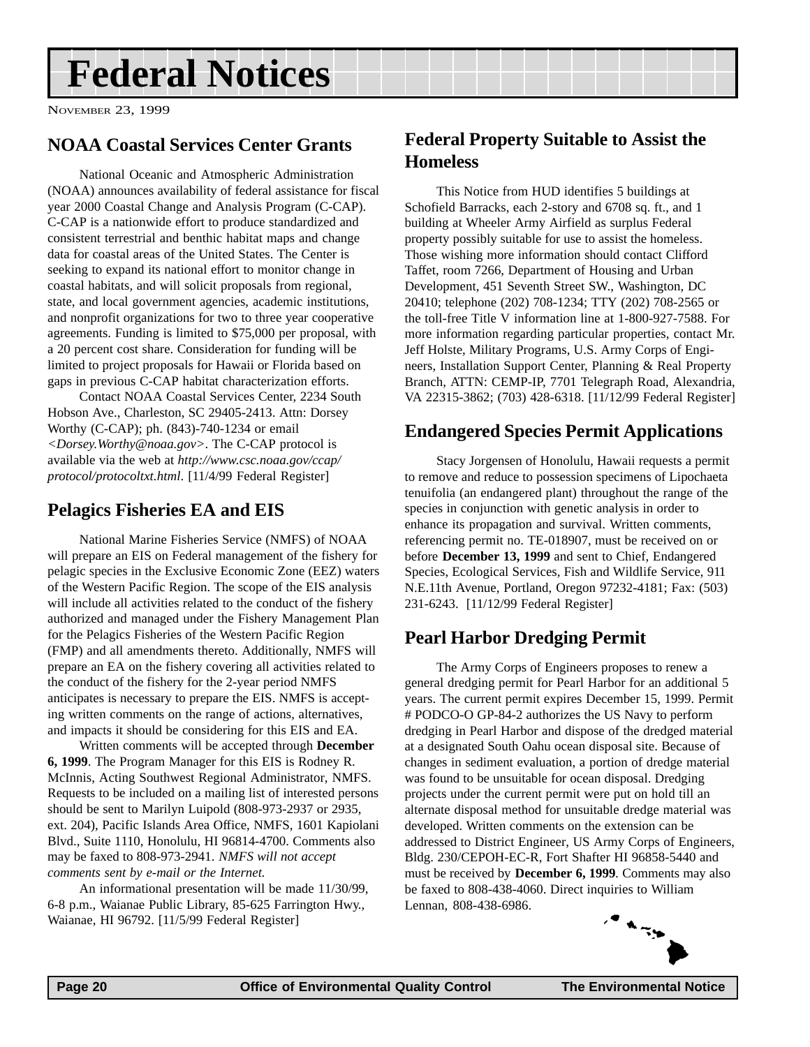## <span id="page-19-0"></span>**Federal Notices**

NOVEMBER 23, 1999

### **NOAA Coastal Services Center Grants**

National Oceanic and Atmospheric Administration (NOAA) announces availability of federal assistance for fiscal year 2000 Coastal Change and Analysis Program (C-CAP). C-CAP is a nationwide effort to produce standardized and consistent terrestrial and benthic habitat maps and change data for coastal areas of the United States. The Center is seeking to expand its national effort to monitor change in coastal habitats, and will solicit proposals from regional, state, and local government agencies, academic institutions, and nonprofit organizations for two to three year cooperative agreements. Funding is limited to \$75,000 per proposal, with a 20 percent cost share. Consideration for funding will be limited to project proposals for Hawaii or Florida based on gaps in previous C-CAP habitat characterization efforts.

Contact NOAA Coastal Services Center, 2234 South Hobson Ave., Charleston, SC 29405-2413. Attn: Dorsey Worthy (C-CAP); ph. (843)-740-1234 or email *<Dorsey.Worthy@noaa.gov>*. The C-CAP protocol is available via the web at *http://www.csc.noaa.gov/ccap/ protocol/protocoltxt.html*. [11/4/99 Federal Register]

### **Pelagics Fisheries EA and EIS**

National Marine Fisheries Service (NMFS) of NOAA will prepare an EIS on Federal management of the fishery for pelagic species in the Exclusive Economic Zone (EEZ) waters of the Western Pacific Region. The scope of the EIS analysis will include all activities related to the conduct of the fishery authorized and managed under the Fishery Management Plan for the Pelagics Fisheries of the Western Pacific Region (FMP) and all amendments thereto. Additionally, NMFS will prepare an EA on the fishery covering all activities related to the conduct of the fishery for the 2-year period NMFS anticipates is necessary to prepare the EIS. NMFS is accepting written comments on the range of actions, alternatives, and impacts it should be considering for this EIS and EA.

Written comments will be accepted through **December 6, 1999**. The Program Manager for this EIS is Rodney R. McInnis, Acting Southwest Regional Administrator, NMFS. Requests to be included on a mailing list of interested persons should be sent to Marilyn Luipold (808-973-2937 or 2935, ext. 204), Pacific Islands Area Office, NMFS, 1601 Kapiolani Blvd., Suite 1110, Honolulu, HI 96814-4700. Comments also may be faxed to 808-973-2941. *NMFS will not accept comments sent by e-mail or the Internet.*

An informational presentation will be made 11/30/99, 6-8 p.m., Waianae Public Library, 85-625 Farrington Hwy., Waianae, HI 96792. [11/5/99 Federal Register]

## **Federal Property Suitable to Assist the Homeless**

This Notice from HUD identifies 5 buildings at Schofield Barracks, each 2-story and 6708 sq. ft., and 1 building at Wheeler Army Airfield as surplus Federal property possibly suitable for use to assist the homeless. Those wishing more information should contact Clifford Taffet, room 7266, Department of Housing and Urban Development, 451 Seventh Street SW., Washington, DC 20410; telephone (202) 708-1234; TTY (202) 708-2565 or the toll-free Title V information line at 1-800-927-7588. For more information regarding particular properties, contact Mr. Jeff Holste, Military Programs, U.S. Army Corps of Engineers, Installation Support Center, Planning & Real Property Branch, ATTN: CEMP-IP, 7701 Telegraph Road, Alexandria, VA 22315-3862; (703) 428-6318. [11/12/99 Federal Register]

## **Endangered Species Permit Applications**

Stacy Jorgensen of Honolulu, Hawaii requests a permit to remove and reduce to possession specimens of Lipochaeta tenuifolia (an endangered plant) throughout the range of the species in conjunction with genetic analysis in order to enhance its propagation and survival. Written comments, referencing permit no. TE-018907, must be received on or before **December 13, 1999** and sent to Chief, Endangered Species, Ecological Services, Fish and Wildlife Service, 911 N.E.11th Avenue, Portland, Oregon 97232-4181; Fax: (503) 231-6243. [11/12/99 Federal Register]

## **Pearl Harbor Dredging Permit**

The Army Corps of Engineers proposes to renew a general dredging permit for Pearl Harbor for an additional 5 years. The current permit expires December 15, 1999. Permit # PODCO-O GP-84-2 authorizes the US Navy to perform dredging in Pearl Harbor and dispose of the dredged material at a designated South Oahu ocean disposal site. Because of changes in sediment evaluation, a portion of dredge material was found to be unsuitable for ocean disposal. Dredging projects under the current permit were put on hold till an alternate disposal method for unsuitable dredge material was developed. Written comments on the extension can be addressed to District Engineer, US Army Corps of Engineers, Bldg. 230/CEPOH-EC-R, Fort Shafter HI 96858-5440 and must be received by **December 6, 1999***.* Comments may also be faxed to 808-438-4060. Direct inquiries to William Lennan, 808-438-6986.